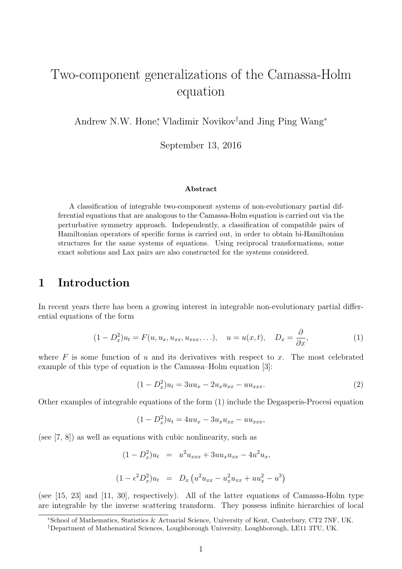# Two-component generalizations of the Camassa-Holm equation

Andrew N.W. Hone<sup>∗</sup> , Vladimir Novikov†and Jing Ping Wang<sup>∗</sup>

September 13, 2016

#### Abstract

A classification of integrable two-component systems of non-evolutionary partial differential equations that are analogous to the Camassa-Holm equation is carried out via the perturbative symmetry approach. Independently, a classification of compatible pairs of Hamiltonian operators of specific forms is carried out, in order to obtain bi-Hamiltonian structures for the same systems of equations. Using reciprocal transformations, some exact solutions and Lax pairs are also constructed for the systems considered.

# 1 Introduction

In recent years there has been a growing interest in integrable non-evolutionary partial differential equations of the form

$$
(1 - D_x^2)u_t = F(u, u_x, u_{xx}, u_{xxx}, \ldots), \quad u = u(x, t), \quad D_x = \frac{\partial}{\partial x}, \tag{1}
$$

where  $F$  is some function of u and its derivatives with respect to x. The most celebrated example of this type of equation is the Camassa–Holm equation [3]:

$$
(1 - D_x^2)u_t = 3uu_x - 2u_xu_{xx} - uu_{xxx}.
$$
\n(2)

Other examples of integrable equations of the form (1) include the Degasperis-Procesi equation

$$
(1 - D_x^2)u_t = 4uu_x - 3u_xu_{xx} - uu_{xxx},
$$

(see [7, 8]) as well as equations with cubic nonlinearity, such as

$$
(1 - D_x^2)u_t = u^2 u_{xxx} + 3uu_x u_{xx} - 4u^2 u_x,
$$
  

$$
(1 - \epsilon^2 D_x^2)u_t = D_x (u^2 u_{xx} - u_x^2 u_{xx} + uu_x^2 - u^3)
$$

(see [15, 23] and [11, 30], respectively). All of the latter equations of Camassa-Holm type are integrable by the inverse scattering transform. They possess infinite hierarchies of local

<sup>∗</sup>School of Mathematics, Statistics & Actuarial Science, University of Kent, Canterbury, CT2 7NF, UK.

<sup>†</sup>Department of Mathematical Sciences, Loughborough University, Loughborough, LE11 3TU, UK.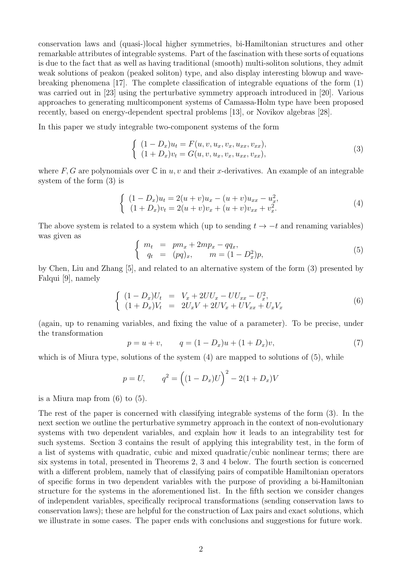conservation laws and (quasi-)local higher symmetries, bi-Hamiltonian structures and other remarkable attributes of integrable systems. Part of the fascination with these sorts of equations is due to the fact that as well as having traditional (smooth) multi-soliton solutions, they admit weak solutions of peakon (peaked soliton) type, and also display interesting blowup and wavebreaking phenomena [17]. The complete classification of integrable equations of the form (1) was carried out in [23] using the perturbative symmetry approach introduced in [20]. Various approaches to generating multicomponent systems of Camassa-Holm type have been proposed recently, based on energy-dependent spectral problems [13], or Novikov algebras [28].

In this paper we study integrable two-component systems of the form

$$
\begin{cases}\n(1 - D_x)u_t = F(u, v, u_x, v_x, u_{xx}, v_{xx}),\n(1 + D_x)v_t = G(u, v, u_x, v_x, u_{xx}, v_{xx}),\n\end{cases}
$$
\n(3)

where F, G are polynomials over  $\mathbb C$  in u, v and their x-derivatives. An example of an integrable system of the form (3) is

$$
\begin{cases}\n(1 - D_x)u_t = 2(u + v)u_x - (u + v)u_{xx} - u_x^2, \\
(1 + D_x)v_t = 2(u + v)v_x + (u + v)v_{xx} + v_x^2.\n\end{cases}
$$
\n(4)

The above system is related to a system which (up to sending  $t \to -t$  and renaming variables) was given as

$$
\begin{cases}\n m_t = pm_x + 2mp_x - qq_x, \\
 q_t = (pq)_x, \qquad m = (1 - D_x^2)p,\n\end{cases} (5)
$$

by Chen, Liu and Zhang [5], and related to an alternative system of the form (3) presented by Falqui [9], namely

$$
\begin{cases}\n(1 - D_x)U_t = V_x + 2UU_x - UU_{xx} - U_x^2, \\
(1 + D_x)V_t = 2U_xV + 2UV_x + UV_{xx} + U_xV_x\n\end{cases}
$$
\n(6)

(again, up to renaming variables, and fixing the value of a parameter). To be precise, under the transformation

$$
p = u + v, \qquad q = (1 - D_x)u + (1 + D_x)v,
$$
\n<sup>(7)</sup>

which is of Miura type, solutions of the system  $(4)$  are mapped to solutions of  $(5)$ , while

$$
p = U
$$
,  $q^2 = ((1 - D_x)U)^2 - 2(1 + D_x)V$ 

is a Miura map from (6) to (5).

The rest of the paper is concerned with classifying integrable systems of the form (3). In the next section we outline the perturbative symmetry approach in the context of non-evolutionary systems with two dependent variables, and explain how it leads to an integrability test for such systems. Section 3 contains the result of applying this integrability test, in the form of a list of systems with quadratic, cubic and mixed quadratic/cubic nonlinear terms; there are six systems in total, presented in Theorems 2, 3 and 4 below. The fourth section is concerned with a different problem, namely that of classifying pairs of compatible Hamiltonian operators of specific forms in two dependent variables with the purpose of providing a bi-Hamiltonian structure for the systems in the aforementioned list. In the fifth section we consider changes of independent variables, specifically reciprocal transformations (sending conservation laws to conservation laws); these are helpful for the construction of Lax pairs and exact solutions, which we illustrate in some cases. The paper ends with conclusions and suggestions for future work.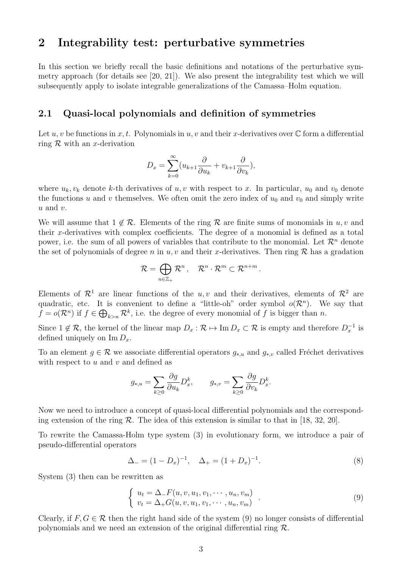# 2 Integrability test: perturbative symmetries

In this section we briefly recall the basic definitions and notations of the perturbative symmetry approach (for details see [20, 21]). We also present the integrability test which we will subsequently apply to isolate integrable generalizations of the Camassa–Holm equation.

#### 2.1 Quasi-local polynomials and definition of symmetries

Let u, v be functions in x, t. Polynomials in u, v and their x-derivatives over  $\mathbb C$  form a differential ring  $R$  with an x-derivation

$$
D_x = \sum_{k=0}^{\infty} (u_{k+1} \frac{\partial}{\partial u_k} + v_{k+1} \frac{\partial}{\partial v_k}),
$$

where  $u_k, v_k$  denote k-th derivatives of u, v with respect to x. In particular,  $u_0$  and  $v_0$  denote the functions u and v themselves. We often omit the zero index of  $u_0$  and  $v_0$  and simply write  $u$  and  $v$ .

We will assume that  $1 \notin \mathcal{R}$ . Elements of the ring R are finite sums of monomials in u, v and their x-derivatives with complex coefficients. The degree of a monomial is defined as a total power, i.e. the sum of all powers of variables that contribute to the monomial. Let  $\mathcal{R}^n$  denote the set of polynomials of degree n in u, v and their x-derivatives. Then ring  $\mathcal{R}$  has a gradation

$$
\mathcal{R}=\bigoplus_{n\in\mathbb{Z}_+}\mathcal{R}^n\,,\quad \mathcal{R}^n\cdot\mathcal{R}^m\subset\mathcal{R}^{n+m}\,.
$$

Elements of  $\mathcal{R}^1$  are linear functions of the u, v and their derivatives, elements of  $\mathcal{R}^2$  are quadratic, etc. It is convenient to define a "little-oh" order symbol  $o(\mathcal{R}^n)$ . We say that  $f = o(\mathcal{R}^n)$  if  $f \in \bigoplus_{k>n} \mathcal{R}^k$ , i.e. the degree of every monomial of f is bigger than n.

Since  $1 \notin \mathcal{R}$ , the kernel of the linear map  $D_x : \mathcal{R} \mapsto \text{Im } D_x \subset \mathcal{R}$  is empty and therefore  $D_x^{-1}$  is defined uniquely on  $\text{Im } D_x$ .

To an element  $g \in \mathcal{R}$  we associate differential operators  $g_{*,u}$  and  $g_{*,v}$  called Fréchet derivatives with respect to  $u$  and  $v$  and defined as

$$
g_{*,u} = \sum_{k\geq 0} \frac{\partial g}{\partial u_k} D_x^k, \qquad g_{*,v} = \sum_{k\geq 0} \frac{\partial g}{\partial v_k} D_x^k.
$$

Now we need to introduce a concept of quasi-local differential polynomials and the corresponding extension of the ring  $\mathcal R$ . The idea of this extension is similar to that in [18, 32, 20].

To rewrite the Camassa-Holm type system (3) in evolutionary form, we introduce a pair of pseudo-differential operators

$$
\Delta_{-} = (1 - D_x)^{-1}, \quad \Delta_{+} = (1 + D_x)^{-1}.
$$
\n(8)

System (3) then can be rewritten as

$$
\begin{cases}\n u_t = \Delta F(u, v, u_1, v_1, \cdots, u_n, v_m) \\
 v_t = \Delta_+ G(u, v, u_1, v_1, \cdots, u_n, v_m)\n\end{cases} \tag{9}
$$

Clearly, if  $F, G \in \mathcal{R}$  then the right hand side of the system (9) no longer consists of differential polynomials and we need an extension of the original differential ring  $\mathcal{R}$ .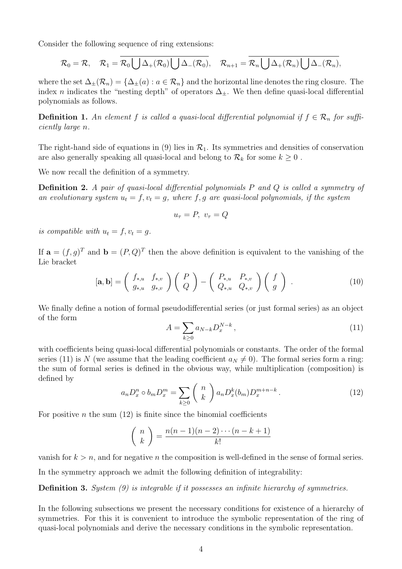Consider the following sequence of ring extensions:

$$
\mathcal{R}_0=\mathcal{R}, \quad \mathcal{R}_1=\mathcal{R}_0\bigcup\Delta_+(\mathcal{R}_0)\bigcup\Delta_-(\mathcal{R}_0), \quad \mathcal{R}_{n+1}=\mathcal{R}_n\bigcup\Delta_+(\mathcal{R}_n)\bigcup\Delta_-(\mathcal{R}_n),
$$

where the set  $\Delta_{\pm}(\mathcal{R}_n) = {\Delta_{\pm}(a) : a \in \mathcal{R}_n}$  and the horizontal line denotes the ring closure. The index n indicates the "nesting depth" of operators  $\Delta_{\pm}$ . We then define quasi-local differential polynomials as follows.

**Definition 1.** An element f is called a quasi-local differential polynomial if  $f \in \mathcal{R}_n$  for sufficiently large n.

The right-hand side of equations in (9) lies in  $\mathcal{R}_1$ . Its symmetries and densities of conservation are also generally speaking all quasi-local and belong to  $\mathcal{R}_k$  for some  $k \geq 0$ .

We now recall the definition of a symmetry.

Definition 2. A pair of quasi-local differential polynomials P and Q is called a symmetry of an evolutionary system  $u_t = f, v_t = g$ , where f, g are quasi-local polynomials, if the system

$$
u_{\tau} = P, \ v_{\tau} = Q
$$

is compatible with  $u_t = f, v_t = g$ .

If  $\mathbf{a} = (f, g)^T$  and  $\mathbf{b} = (P, Q)^T$  then the above definition is equivalent to the vanishing of the Lie bracket

$$
[\mathbf{a}, \mathbf{b}] = \begin{pmatrix} f_{*,u} & f_{*,v} \\ g_{*,u} & g_{*,v} \end{pmatrix} \begin{pmatrix} P \\ Q \end{pmatrix} - \begin{pmatrix} P_{*,u} & P_{*,v} \\ Q_{*,u} & Q_{*,v} \end{pmatrix} \begin{pmatrix} f \\ g \end{pmatrix} . \tag{10}
$$

We finally define a notion of formal pseudodifferential series (or just formal series) as an object of the form

$$
A = \sum_{k \ge 0} a_{N-k} D_x^{N-k}, \qquad (11)
$$

with coefficients being quasi-local differential polynomials or constants. The order of the formal series (11) is N (we assume that the leading coefficient  $a_N \neq 0$ ). The formal series form a ring: the sum of formal series is defined in the obvious way, while multiplication (composition) is defined by

$$
a_n D_x^n \circ b_m D_x^m = \sum_{k \ge 0} {n \choose k} a_n D_x^k (b_m) D_x^{m+n-k}.
$$
 (12)

For positive *n* the sum  $(12)$  is finite since the binomial coefficients

$$
\binom{n}{k} = \frac{n(n-1)(n-2)\cdots(n-k+1)}{k!}
$$

vanish for  $k > n$ , and for negative *n* the composition is well-defined in the sense of formal series.

In the symmetry approach we admit the following definition of integrability:

Definition 3. System (9) is integrable if it possesses an infinite hierarchy of symmetries.

In the following subsections we present the necessary conditions for existence of a hierarchy of symmetries. For this it is convenient to introduce the symbolic representation of the ring of quasi-local polynomials and derive the necessary conditions in the symbolic representation.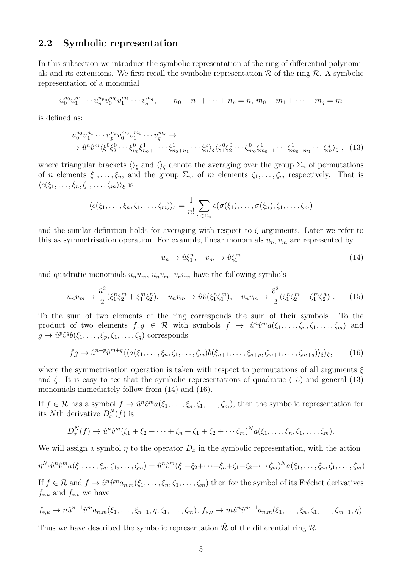#### 2.2 Symbolic representation

In this subsection we introduce the symbolic representation of the ring of differential polynomials and its extensions. We first recall the symbolic representation  $\mathcal R$  of the ring  $\mathcal R$ . A symbolic representation of a monomial

$$
u_0^{n_0}u_1^{n_1}\cdots u_p^{n_p}v_0^{m_0}v_1^{m_1}\cdots v_q^{m_q}, \qquad n_0+n_1+\cdots+n_p=n, m_0+m_1+\cdots+m_q=m
$$

is defined as:

$$
u_0^{n_0} u_1^{n_1} \cdots u_p^{n_p} v_0^{m_0} v_1^{m_1} \cdots v_q^{m_q} \to
$$
  
\n
$$
\to \hat{u}^n \hat{v}^m \langle \xi_1^0 \xi_2^0 \cdots \xi_{n_0}^0 \xi_{n_0+1}^1 \cdots \xi_{n_0+n_1}^1 \cdots \xi_n^p \rangle_{\xi} \langle \zeta_1^0 \zeta_2^0 \cdots \zeta_{m_0}^0 \zeta_{m_0+1}^1 \cdots \zeta_{m_0+m_1}^1 \cdots \zeta_n^q \rangle_{\zeta} , \quad (13)
$$

where triangular brackets  $\langle \rangle_{\xi}$  and  $\langle \rangle_{\zeta}$  denote the averaging over the group  $\Sigma_n$  of permutations of n elements  $\xi_1, \ldots, \xi_n$ , and the group  $\Sigma_m$  of m elements  $\zeta_1, \ldots, \zeta_m$  respectively. That is  $\langle c(\xi_1,\ldots,\xi_n,\zeta_1,\ldots,\zeta_m)\rangle_{\xi}$  is

$$
\langle c(\xi_1,\ldots,\xi_n,\zeta_1,\ldots,\zeta_m)\rangle_{\xi}=\frac{1}{n!}\sum_{\sigma\in\Sigma_n}c(\sigma(\xi_1),\ldots,\sigma(\xi_n),\zeta_1,\ldots,\zeta_m)
$$

and the similar definition holds for averaging with respect to  $\zeta$  arguments. Later we refer to this as symmetrisation operation. For example, linear monomials  $u_n, v_m$  are represented by

$$
u_n \to \hat{u}\xi_1^n, \quad v_m \to \hat{v}\zeta_1^m \tag{14}
$$

and quadratic monomials  $u_nu_m$ ,  $u_nv_m$ ,  $v_nv_m$  have the following symbols

$$
u_n u_m \to \frac{\hat{u}^2}{2} (\xi_1^n \xi_2^m + \xi_1^m \xi_2^n), \quad u_n v_m \to \hat{u} \hat{v} (\xi_1^n \zeta_1^m), \quad v_n v_m \to \frac{\hat{v}^2}{2} (\zeta_1^n \zeta_2^m + \zeta_1^m \zeta_2^n).
$$
 (15)

To the sum of two elements of the ring corresponds the sum of their symbols. To the product of two elements  $f, g \in \mathcal{R}$  with symbols  $f \to \hat{u}^n \hat{v}^m a(\xi_1, \dots, \xi_n, \zeta_1, \dots, \zeta_m)$  and  $g \to \hat{u}^p \hat{v}^q b(\xi_1, \ldots, \xi_p, \zeta_1, \ldots, \zeta_q)$  corresponds

$$
fg \to \hat{u}^{n+p}\hat{v}^{m+q}\langle\langle a(\xi_1,\ldots,\xi_n,\zeta_1,\ldots,\zeta_m)b(\xi_{n+1},\ldots,\xi_{n+p},\zeta_{m+1},\ldots,\zeta_{m+q})\rangle_{\xi}\rangle_{\zeta},\qquad(16)
$$

where the symmetrisation operation is taken with respect to permutations of all arguments  $\xi$ and  $\zeta$ . It is easy to see that the symbolic representations of quadratic (15) and general (13) monomials immediately follow from (14) and (16).

If  $f \in \mathcal{R}$  has a symbol  $f \to \hat{u}^n \hat{v}^m a(\xi_1, \ldots, \xi_n, \zeta_1, \ldots, \zeta_m)$ , then the symbolic representation for its Nth derivative  $D_x^N(f)$  is

$$
D_x^N(f) \to \hat{u}^n \hat{v}^m(\xi_1 + \xi_2 + \cdots + \xi_n + \zeta_1 + \zeta_2 + \cdots + \zeta_m)^N a(\xi_1, \ldots, \xi_n, \zeta_1, \ldots, \zeta_m).
$$

We will assign a symbol  $\eta$  to the operator  $D_x$  in the symbolic representation, with the action

$$
\eta^N \cdot \hat{u}^n \hat{v}^m a(\xi_1, \dots, \xi_n, \zeta_1, \dots, \zeta_m) = \hat{u}^n \hat{v}^m(\xi_1 + \xi_2 + \dots + \xi_n + \zeta_1 + \zeta_2 + \dots + \zeta_m)^N a(\xi_1, \dots, \xi_n, \zeta_1, \dots, \zeta_m)
$$

If  $f \in \mathcal{R}$  and  $f \to \hat{u}^n \hat{v}^m a_{n,m}(\xi_1,\ldots,\xi_n,\zeta_1,\ldots,\zeta_m)$  then for the symbol of its Fréchet derivatives  $f_{*,u}$  and  $f_{*,v}$  we have

$$
f_{*,u} \to n\hat{u}^{n-1}\hat{v}^m a_{n,m}(\xi_1,\ldots,\xi_{n-1},\eta,\zeta_1,\ldots,\zeta_m),\ f_{*,v} \to m\hat{u}^n\hat{v}^{m-1} a_{n,m}(\xi_1,\ldots,\xi_n,\zeta_1,\ldots,\zeta_{m-1},\eta).
$$

Thus we have described the symbolic representation  $\hat{\mathcal{R}}$  of the differential ring  $\mathcal{R}$ .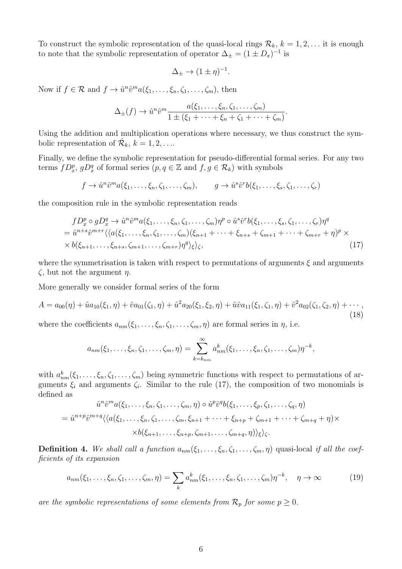To construct the symbolic representation of the quasi-local rings  $\mathcal{R}_k$ ,  $k = 1, 2, \ldots$  it is enough to note that the symbolic representation of operator  $\Delta_{\pm} = (1 \pm D_x)^{-1}$  is

$$
\Delta_{\pm} \to (1 \pm \eta)^{-1}.
$$

Now if  $f \in \mathcal{R}$  and  $f \to \hat{u}^n \hat{v}^m a(\xi_1, \dots, \xi_n, \zeta_1, \dots, \zeta_m)$ , then

$$
\Delta_{\pm}(f) \to \hat{u}^n \hat{v}^m \frac{a(\xi_1, \ldots, \xi_n, \zeta_1, \ldots, \zeta_m)}{1 \pm (\xi_1 + \cdots + \xi_n + \zeta_1 + \cdots + \zeta_m)}.
$$

Using the addition and multiplication operations where necessary, we thus construct the symbolic representation of  $\mathcal{R}_k$ ,  $k = 1, 2, \ldots$ 

Finally, we define the symbolic representation for pseudo-differential formal series. For any two terms  $fD_x^p$ ,  $gD_x^q$  of formal series  $(p, q \in \mathbb{Z}$  and  $f, g \in \mathcal{R}_k)$  with symbols

$$
f \to \hat{u}^n \hat{v}^m a(\xi_1, \dots, \xi_n, \zeta_1, \dots, \zeta_m), \qquad g \to \hat{u}^s \hat{v}^r b(\xi_1, \dots, \xi_s, \zeta_1, \dots, \zeta_r)
$$

the composition rule in the symbolic representation reads

$$
fD_x^p \circ gD_x^q \to \hat{u}^n \hat{v}^m a(\xi_1, \dots, \xi_n, \zeta_1, \dots, \zeta_m) \eta^p \circ \hat{u}^s \hat{v}^r b(\xi_1, \dots, \xi_s, \zeta_1, \dots, \zeta_r) \eta^q
$$
  
=  $\hat{u}^{n+s} \hat{v}^{m+r} \langle \langle a(\xi_1, \dots, \xi_n, \zeta_1, \dots, \zeta_m)(\xi_{n+1} + \dots + \xi_{n+s} + \zeta_{m+1} + \dots + \zeta_{m+r} + \eta)^p \times \rangle$   
  $\times b(\xi_{n+1}, \dots, \xi_{n+s}, \zeta_{m+1}, \dots, \zeta_{m+r}) \eta^q \rangle_{\xi} \rangle_{\zeta},$  (17)

where the symmetrisation is taken with respect to permutations of arguments  $\xi$  and arguments  $\zeta$ , but not the argument  $\eta$ .

More generally we consider formal series of the form

$$
A = a_{00}(\eta) + \hat{u}a_{10}(\xi_1, \eta) + \hat{v}a_{01}(\zeta_1, \eta) + \hat{u}^2a_{20}(\xi_1, \xi_2, \eta) + \hat{u}\hat{v}a_{11}(\xi_1, \zeta_1, \eta) + \hat{v}^2a_{02}(\zeta_1, \zeta_2, \eta) + \cdots,
$$
\n(18)

where the coefficients  $a_{nm}(\xi_1,\ldots,\xi_n,\zeta_1,\ldots,\zeta_m,\eta)$  are formal series in  $\eta$ , i.e.

$$
a_{nm}(\xi_1,\ldots,\xi_n,\zeta_1,\ldots,\zeta_m,\eta)=\sum_{k=k_{nm}}^{\infty}a_{nm}^k(\xi_1,\ldots,\xi_n,\zeta_1,\ldots,\zeta_m)\eta^{-k},
$$

with  $a_{nm}^k(\xi_1,\ldots,\xi_n,\zeta_1,\ldots,\zeta_m)$  being symmetric functions with respect to permutations of arguments  $\xi_i$  and arguments  $\zeta_i$ . Similar to the rule (17), the composition of two monomials is defined as

$$
\hat{u}^n \hat{v}^m a(\xi_1, \dots, \xi_n, \zeta_1, \dots, \zeta_m, \eta) \circ \hat{u}^p \hat{v}^q b(\xi_1, \dots, \xi_p, \zeta_1, \dots, \zeta_q, \eta)
$$
  
=  $\hat{u}^{n+p} \hat{v}^{m+q} \langle \langle a(\xi_1, \dots, \xi_n, \zeta_1, \dots, \zeta_m, \xi_{n+1} + \dots + \xi_{n+p} + \zeta_{m+1} + \dots + \zeta_{m+q} + \eta) \times \times b(\xi_{n+1}, \dots, \xi_{n+p}, \zeta_{m+1}, \dots, \zeta_{m+q}, \eta) \rangle_{\xi} \rangle_{\zeta}.$ 

**Definition 4.** We shall call a function  $a_{nm}(\xi_1,\ldots,\xi_n,\zeta_1,\ldots,\zeta_m,\eta)$  quasi-local if all the coefficients of its expansion

$$
a_{nm}(\xi_1,\ldots,\xi_n,\zeta_1,\ldots,\zeta_m,\eta) = \sum_k a_{nm}^k(\xi_1,\ldots,\xi_n,\zeta_1,\ldots,\zeta_m)\eta^{-k}, \quad \eta \to \infty
$$
 (19)

are the symbolic representations of some elements from  $\mathcal{R}_p$  for some  $p \geq 0$ .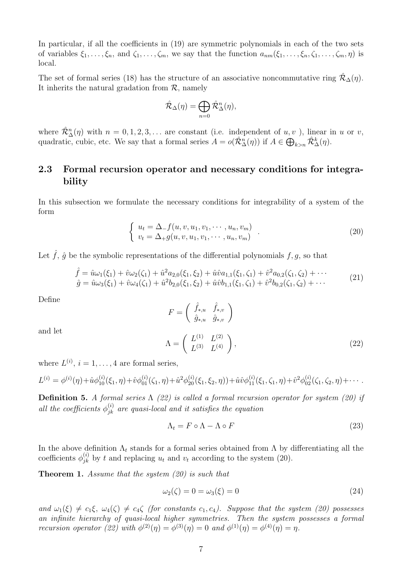In particular, if all the coefficients in (19) are symmetric polynomials in each of the two sets of variables  $\xi_1,\ldots,\xi_n$ , and  $\zeta_1,\ldots,\zeta_m$ , we say that the function  $a_{nm}(\xi_1,\ldots,\xi_n,\zeta_1,\ldots,\zeta_m,\eta)$  is local.

The set of formal series (18) has the structure of an associative noncommutative ring  $\mathcal{R}_{\Delta}(\eta)$ . It inherits the natural gradation from  $\mathcal{R}$ , namely

$$
\hat{\mathcal{R}}_{\Delta}(\eta) = \bigoplus_{n=0} \hat{\mathcal{R}}_{\Delta}^{n}(\eta),
$$

where  $\mathcal{R}_{\Delta}^{n}(\eta)$  with  $n = 0, 1, 2, 3, \ldots$  are constant (i.e. independent of  $u, v$ ), linear in u or v, quadratic, cubic, etc. We say that a formal series  $A = o(\hat{\mathcal{R}}_{\Delta}^n(\eta))$  if  $A \in \bigoplus_{k>n} \hat{\mathcal{R}}_{\Delta}^k(\eta)$ .

## 2.3 Formal recursion operator and necessary conditions for integrability

In this subsection we formulate the necessary conditions for integrability of a system of the form

$$
\begin{cases}\n u_t = \Delta_{-} f(u, v, u_1, v_1, \cdots, u_n, v_m) \\
 v_t = \Delta_{+} g(u, v, u_1, v_1, \cdots, u_n, v_m)\n\end{cases} \tag{20}
$$

Let  $\hat{f}, \hat{g}$  be the symbolic representations of the differential polynomials  $f, g$ , so that

$$
\hat{f} = \hat{u}\omega_1(\xi_1) + \hat{v}\omega_2(\zeta_1) + \hat{u}^2 a_{2,0}(\xi_1, \xi_2) + \hat{u}\hat{v} a_{1,1}(\xi_1, \zeta_1) + \hat{v}^2 a_{0,2}(\zeta_1, \zeta_2) + \cdots
$$
\n
$$
\hat{g} = \hat{u}\omega_3(\xi_1) + \hat{v}\omega_4(\zeta_1) + \hat{u}^2 b_{2,0}(\xi_1, \xi_2) + \hat{u}\hat{v} b_{1,1}(\xi_1, \zeta_1) + \hat{v}^2 b_{0,2}(\zeta_1, \zeta_2) + \cdots
$$
\n(21)

Define

$$
F = \begin{pmatrix} \hat{f}_{*,u} & \hat{f}_{*,v} \\ \hat{g}_{*,u} & \hat{g}_{*,v} \end{pmatrix}
$$
  

$$
\Lambda = \begin{pmatrix} L^{(1)} & L^{(2)} \\ 0 & \lambda \end{pmatrix}
$$
 (22)

and let

$$
\Lambda = \left(\begin{array}{cc} L^{(1)} & L^{(2)} \\ L^{(3)} & L^{(4)} \end{array}\right),\tag{22}
$$

where  $L^{(i)}$ ,  $i = 1, ..., 4$  are formal series,

$$
L^{(i)} = \phi^{(i)}(\eta) + \hat{u}\phi^{(i)}_{10}(\xi_1, \eta) + \hat{v}\phi^{(i)}_{01}(\zeta_1, \eta) + \hat{u}^2\phi^{(i)}_{20}(\xi_1, \xi_2, \eta) + \hat{u}\hat{v}\phi^{(i)}_{11}(\xi_1, \zeta_1, \eta) + \hat{v}^2\phi^{(i)}_{02}(\zeta_1, \zeta_2, \eta) + \cdots
$$

**Definition 5.** A formal series  $\Lambda$  (22) is called a formal recursion operator for system (20) if all the coefficients  $\phi_{jk}^{(i)}$  are quasi-local and it satisfies the equation

$$
\Lambda_t = F \circ \Lambda - \Lambda \circ F \tag{23}
$$

In the above definition  $\Lambda_t$  stands for a formal series obtained from  $\Lambda$  by differentiating all the coefficients  $\phi_{jk}^{(i)}$  by t and replacing  $u_t$  and  $v_t$  according to the system (20).

**Theorem 1.** Assume that the system (20) is such that

$$
\omega_2(\zeta) = 0 = \omega_3(\xi) = 0 \tag{24}
$$

and  $\omega_1(\xi) \neq c_1\xi$ ,  $\omega_4(\zeta) \neq c_4\zeta$  (for constants  $c_1, c_4$ ). Suppose that the system (20) possesses an infinite hierarchy of quasi-local higher symmetries. Then the system possesses a formal recursion operator (22) with  $\phi^{(2)}(\eta) = \phi^{(3)}(\eta) = 0$  and  $\phi^{(1)}(\eta) = \phi^{(4)}(\eta) = \eta$ .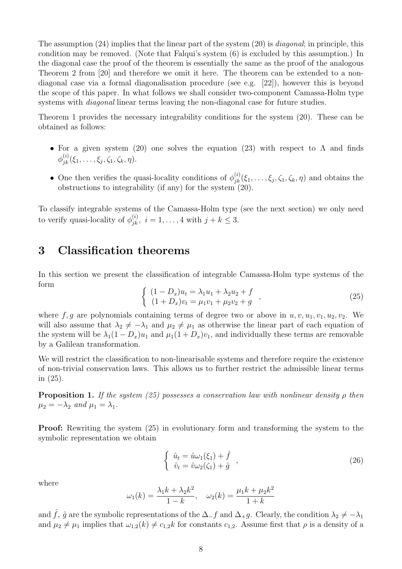The assumption  $(24)$  implies that the linear part of the system  $(20)$  is *diagonal*; in principle, this condition may be removed. (Note that Falqui's system (6) is excluded by this assumption.) In the diagonal case the proof of the theorem is essentially the same as the proof of the analogous Theorem 2 from [20] and therefore we omit it here. The theorem can be extended to a nondiagonal case via a formal diagonalisation procedure (see e.g. [22]), however this is beyond the scope of this paper. In what follows we shall consider two-component Camassa-Holm type systems with *diagonal* linear terms leaving the non-diagonal case for future studies.

Theorem 1 provides the necessary integrability conditions for the system (20). These can be obtained as follows:

- For a given system (20) one solves the equation (23) with respect to  $\Lambda$  and finds  $\phi_{jk}^{(i)}(\xi_1,\ldots,\xi_j,\zeta_1,\zeta_k,\eta).$
- One then verifies the quasi-locality conditions of  $\phi_{jk}^{(i)}(\xi_1,\ldots,\xi_j,\zeta_1,\zeta_k,\eta)$  and obtains the obstructions to integrability (if any) for the system (20).

To classify integrable systems of the Camassa-Holm type (see the next section) we only need to verify quasi-locality of  $\phi_{jk}^{(i)}$ ,  $i = 1, ..., 4$  with  $j + k \leq 3$ .

# 3 Classification theorems

In this section we present the classification of integrable Camassa-Holm type systems of the form

$$
\begin{cases}\n(1 - D_x)u_t = \lambda_1 u_1 + \lambda_2 u_2 + f \\
(1 + D_x)v_t = \mu_1 v_1 + \mu_2 v_2 + g\n\end{cases}
$$
\n(25)

where f, g are polynomials containing terms of degree two or above in  $u, v, u_1, v_1, u_2, v_2$ . We will also assume that  $\lambda_2 \neq -\lambda_1$  and  $\mu_2 \neq \mu_1$  as otherwise the linear part of each equation of the system will be  $\lambda_1(1-D_x)u_1$  and  $\mu_1(1+D_x)v_1$ , and individually these terms are removable by a Galilean transformation.

We will restrict the classification to non-linearisable systems and therefore require the existence of non-trivial conservation laws. This allows us to further restrict the admissible linear terms in (25).

**Proposition 1.** If the system (25) possesses a conservation law with nonlinear density  $\rho$  then  $\mu_2 = -\lambda_2$  and  $\mu_1 = \lambda_1$ .

Proof: Rewriting the system (25) in evolutionary form and transforming the system to the symbolic representation we obtain

$$
\begin{cases}\n\hat{u}_t = \hat{u}\omega_1(\xi_1) + \hat{f} \\
\hat{v}_t = \hat{v}\omega_2(\zeta_1) + \hat{g}\n\end{cases}
$$
\n(26)

where

$$
\omega_1(k) = \frac{\lambda_1 k + \lambda_2 k^2}{1 - k}, \quad \omega_2(k) = \frac{\mu_1 k + \mu_2 k^2}{1 + k}
$$

and  $\hat{f}$ ,  $\hat{g}$  are the symbolic representations of the  $\Delta_{-}f$  and  $\Delta_{+}g$ . Clearly, the condition  $\lambda_2 \neq -\lambda_1$ and  $\mu_2 \neq \mu_1$  implies that  $\omega_{1,2}(k) \neq c_{1,2}k$  for constants  $c_{1,2}$ . Assume first that  $\rho$  is a density of a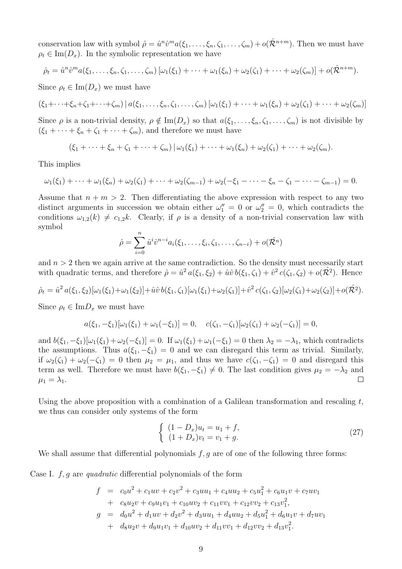conservation law with symbol  $\hat{\rho} = \hat{u}^n \hat{v}^m a(\xi_1, \dots, \xi_n, \zeta_1, \dots, \zeta_m) + o(\hat{\mathcal{R}}^{n+m})$ . Then we must have  $\rho_t \in \text{Im}(D_x)$ . In the symbolic representation we have

$$
\hat{\rho}_t = \hat{u}^n \hat{v}^m a(\xi_1, \ldots, \xi_n, \zeta_1, \ldots, \zeta_m) [\omega_1(\xi_1) + \cdots + \omega_1(\xi_n) + \omega_2(\zeta_1) + \cdots + \omega_2(\zeta_m)] + o(\hat{\mathcal{R}}^{n+m}).
$$

Since  $\rho_t \in \text{Im}(D_x)$  we must have

$$
(\xi_1+\cdots+\xi_n+\zeta_1+\cdots+\zeta_m)\,|\,a(\xi_1,\ldots,\xi_n,\zeta_1,\ldots,\zeta_m)\,[\omega_1(\xi_1)+\cdots+\omega_1(\xi_n)+\omega_2(\zeta_1)+\cdots+\omega_2(\zeta_m)]
$$

Since  $\rho$  is a non-trivial density,  $\rho \notin \text{Im}(D_x)$  so that  $a(\xi_1, \ldots, \xi_n, \zeta_1, \ldots, \zeta_m)$  is not divisible by  $(\xi_1 + \cdots + \xi_n + \zeta_1 + \cdots + \zeta_m)$ , and therefore we must have

$$
(\xi_1+\cdots+\xi_n+\zeta_1+\cdots+\zeta_m)|\,\omega_1(\xi_1)+\cdots+\omega_1(\xi_n)+\omega_2(\zeta_1)+\cdots+\omega_2(\zeta_m).
$$

This implies

$$
\omega_1(\xi_1) + \cdots + \omega_1(\xi_n) + \omega_2(\zeta_1) + \cdots + \omega_2(\zeta_{m-1}) + \omega_2(-\xi_1 - \cdots - \xi_n - \zeta_1 - \cdots - \zeta_{m-1}) = 0.
$$

Assume that  $n + m > 2$ . Then differentiating the above expression with respect to any two distinct arguments in succession we obtain either  $\omega_1'' = 0$  or  $\omega_2'' = 0$ , which contradicts the conditions  $\omega_{1,2}(k) \neq c_{1,2}k$ . Clearly, if  $\rho$  is a density of a non-trivial conservation law with symbol

$$
\hat{\rho} = \sum_{i=0}^n \hat{u}^i \hat{v}^{n-i} a_i(\xi_1, \dots, \xi_i, \zeta_1, \dots, \zeta_{n-i}) + o(\hat{\mathcal{R}^n})
$$

and  $n > 2$  then we again arrive at the same contradiction. So the density must necessarily start with quadratic terms, and therefore  $\hat{\rho} = \hat{u}^2 a(\xi_1, \xi_2) + \hat{u}\hat{v} b(\xi_1, \zeta_1) + \hat{v}^2 c(\zeta_1, \zeta_2) + o(\hat{\mathcal{R}}^2)$ . Hence

$$
\hat{\rho}_t = \hat{u}^2 a(\xi_1, \xi_2) [\omega_1(\xi_1) + \omega_1(\xi_2)] + \hat{u} \hat{v} b(\xi_1, \zeta_1) [\omega_1(\xi_1) + \omega_2(\zeta_1)] + \hat{v}^2 c(\zeta_1, \zeta_2) [\omega_2(\zeta_1) + \omega_2(\zeta_2)] + o(\hat{\mathcal{R}}^2).
$$

Since  $\rho_t \in \text{Im} D_x$  we must have

$$
a(\xi_1, -\xi_1)[\omega_1(\xi_1) + \omega_1(-\xi_1)] = 0, \quad c(\zeta_1, -\zeta_1)[\omega_2(\zeta_1) + \omega_2(-\zeta_1)] = 0,
$$

and  $b(\xi_1, -\xi_1)[\omega_1(\xi_1) + \omega_2(-\xi_1)] = 0$ . If  $\omega_1(\xi_1) + \omega_1(-\xi_1) = 0$  then  $\lambda_2 = -\lambda_1$ , which contradicts the assumptions. Thus  $a(\xi_1, -\xi_1) = 0$  and we can disregard this term as trivial. Similarly, if  $\omega_2(\zeta_1) + \omega_2(-\zeta_1) = 0$  then  $\mu_2 = \mu_1$ , and thus we have  $c(\zeta_1, -\zeta_1) = 0$  and disregard this term as well. Therefore we must have  $b(\xi_1, -\xi_1) \neq 0$ . The last condition gives  $\mu_2 = -\lambda_2$  and  $\Box$  $\mu_1 = \lambda_1.$ 

Using the above proposition with a combination of a Galilean transformation and rescaling  $t$ , we thus can consider only systems of the form

$$
\begin{cases} (1 - D_x)u_t = u_1 + f, \\ (1 + D_x)v_t = v_1 + g. \end{cases}
$$
\n(27)

We shall assume that differential polynomials  $f, g$  are of one of the following three forms:

Case I.  $f, g$  are quadratic differential polynomials of the form

$$
f = c_0 u^2 + c_1 u v + c_2 v^2 + c_3 u u_1 + c_4 u u_2 + c_5 u_1^2 + c_6 u_1 v + c_7 u v_1
$$
  
+ 
$$
c_8 u_2 v + c_9 u_1 v_1 + c_{10} u v_2 + c_{11} v v_1 + c_{12} v v_2 + c_{13} v_1^2,
$$
  

$$
g = d_0 u^2 + d_1 u v + d_2 v^2 + d_3 u u_1 + d_4 u u_2 + d_5 u_1^2 + d_6 u_1 v + d_7 u v_1
$$
  
+ 
$$
d_8 u_2 v + d_9 u_1 v_1 + d_{10} u v_2 + d_{11} v v_1 + d_{12} v v_2 + d_{13} v_1^2.
$$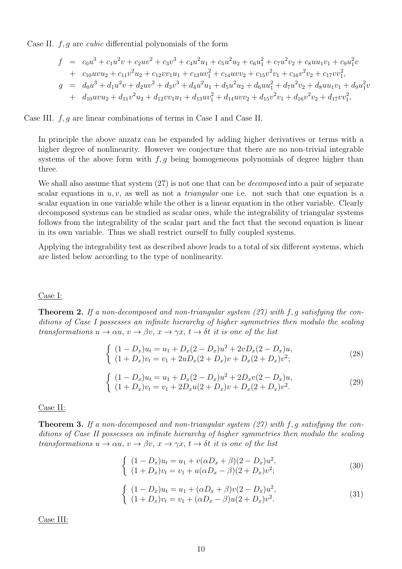Case II.  $f, g$  are *cubic* differential polynomials of the form

$$
f = c_0 u^3 + c_1 u^2 v + c_2 u v^2 + c_3 v^3 + c_4 u^2 u_1 + c_5 u^2 u_2 + c_6 u_1^2 + c_7 u^2 v_2 + c_8 u u_1 v_1 + c_9 u_1^2 v
$$
  
+ 
$$
c_{10} u v u_2 + c_{11} v^2 u_2 + c_{12} v v_1 u_1 + c_{13} u v_1^2 + c_{14} u v v_2 + c_{15} v^2 v_1 + c_{16} v^2 v_2 + c_{17} v v_1^2,
$$
  

$$
g = d_0 u^3 + d_1 u^2 v + d_2 u v^2 + d_3 v^3 + d_4 u^2 u_1 + d_5 u^2 u_2 + d_6 u u_1^2 + d_7 u^2 v_2 + d_8 u u_1 v_1 + d_9 u_1^2 v
$$
  
+ 
$$
d_{10} u v u_2 + d_{11} v^2 u_2 + d_{12} v v_1 u_1 + d_{13} u v_1^2 + d_{14} u v v_2 + d_{15} v^2 v_1 + d_{16} v^2 v_2 + d_{17} v v_1^2,
$$

Case III.  $f, g$  are linear combinations of terms in Case I and Case II.

In principle the above anzatz can be expanded by adding higher derivatives or terms with a higher degree of nonlinearity. However we conjecture that there are no non-trivial integrable systems of the above form with  $f, g$  being homogeneous polynomials of degree higher than three.

We shall also assume that system  $(27)$  is not one that can be *decomposed* into a pair of separate scalar equations in  $u, v$ , as well as not a *triangular* one i.e. not such that one equation is a scalar equation in one variable while the other is a linear equation in the other variable. Clearly decomposed systems can be studied as scalar ones, while the integrability of triangular systems follows from the integrability of the scalar part and the fact that the second equation is linear in its own variable. Thus we shall restrict ourself to fully coupled systems.

Applying the integrability test as described above leads to a total of six different systems, which are listed below according to the type of nonlinearity.

#### Case I:

**Theorem 2.** If a non-decomposed and non-triangular system  $(27)$  with f, g satisfying the conditions of Case I possesses an infinite hierarchy of higher symmetries then modulo the scaling transformations  $u \to \alpha u$ ,  $v \to \beta v$ ,  $x \to \gamma x$ ,  $t \to \delta t$  it is one of the list

$$
\begin{cases}\n(1 - D_x)u_t = u_1 + D_x(2 - D_x)u^2 + 2vD_x(2 - D_x)u, \n(1 + D_x)v_t = v_1 + 2uD_x(2 + D_x)v + D_x(2 + D_x)v^2;\n\end{cases}
$$
\n(28)

$$
\begin{cases}\n(1 - D_x)u_t = u_1 + D_x(2 - D_x)u^2 + 2D_x v(2 - D_x)u, \n(1 + D_x)v_t = v_1 + 2D_x u(2 + D_x)v + D_x(2 + D_x)v^2.\n\end{cases}
$$
\n(29)

#### Case II:

**Theorem 3.** If a non-decomposed and non-triangular system  $(27)$  with f, g satisfying the conditions of Case II possesses an infinite hierarchy of higher symmetries then modulo the scaling transformations  $u \to \alpha u$ ,  $v \to \beta v$ ,  $x \to \gamma x$ ,  $t \to \delta t$  it is one of the list

$$
\begin{cases}\n(1 - D_x)u_t = u_1 + v(\alpha D_x + \beta)(2 - D_x)u^2, \\
(1 + D_x)v_t = v_1 + u(\alpha D_x - \beta)(2 + D_x)v^2;\n\end{cases}
$$
\n(30)

$$
\begin{cases}\n(1 - D_x)u_t = u_1 + (\alpha D_x + \beta)v(2 - D_x)u^2, \\
(1 + D_x)v_t = v_1 + (\alpha D_x - \beta)u(2 + D_x)v^2.\n\end{cases}
$$
\n(31)

Case III: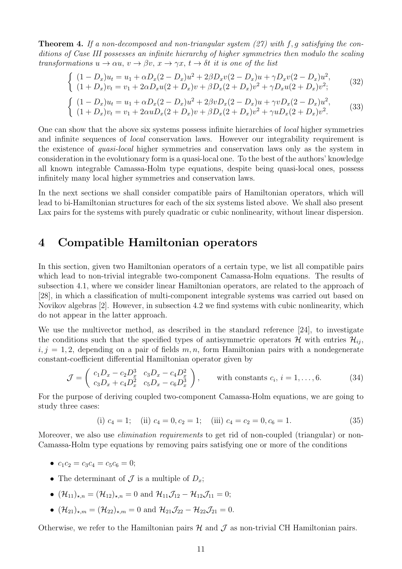**Theorem 4.** If a non-decomposed and non-triangular system  $(27)$  with f, g satisfying the conditions of Case III possesses an infinite hierarchy of higher symmetries then modulo the scaling transformations  $u \to \alpha u$ ,  $v \to \beta v$ ,  $x \to \gamma x$ ,  $t \to \delta t$  it is one of the list

$$
\begin{cases}\n(1 - D_x)u_t = u_1 + \alpha D_x (2 - D_x)u^2 + 2\beta D_x v (2 - D_x)u + \gamma D_x v (2 - D_x)u^2, \\
(1 + D_x)v_t = v_1 + 2\alpha D_x u (2 + D_x)v + \beta D_x (2 + D_x)v^2 + \gamma D_x u (2 + D_x)v^2;\n\end{cases}
$$
\n(32)

$$
\begin{cases}\n(1 - D_x)u_t = u_1 + \alpha D_x (2 - D_x)u^2 + 2\beta v D_x (2 - D_x)u + \gamma v D_x (2 - D_x)u^2, \\
(1 + D_x)v_t = v_1 + 2\alpha u D_x (2 + D_x)v + \beta D_x (2 + D_x)v^2 + \gamma u D_x (2 + D_x)v^2.\n\end{cases}
$$
\n(33)

One can show that the above six systems possess infinite hierarchies of local higher symmetries and infinite sequences of local conservation laws. However our integrability requirement is the existence of quasi-local higher symmetries and conservation laws only as the system in consideration in the evolutionary form is a quasi-local one. To the best of the authors' knowledge all known integrable Camassa-Holm type equations, despite being quasi-local ones, possess infinitely many local higher symmetries and conservation laws.

In the next sections we shall consider compatible pairs of Hamiltonian operators, which will lead to bi-Hamiltonian structures for each of the six systems listed above. We shall also present Lax pairs for the systems with purely quadratic or cubic nonlinearity, without linear dispersion.

# 4 Compatible Hamiltonian operators

In this section, given two Hamiltonian operators of a certain type, we list all compatible pairs which lead to non-trivial integrable two-component Camassa-Holm equations. The results of subsection 4.1, where we consider linear Hamiltonian operators, are related to the approach of [28], in which a classification of multi-component integrable systems was carried out based on Novikov algebras [2]. However, in subsection 4.2 we find systems with cubic nonlinearity, which do not appear in the latter approach.

We use the multivector method, as described in the standard reference [24], to investigate the conditions such that the specified types of antisymmetric operators  $\mathcal{H}$  with entries  $\mathcal{H}_{ii}$ ,  $i, j = 1, 2$ , depending on a pair of fields  $m, n$ , form Hamiltonian pairs with a nondegenerate constant-coefficient differential Hamiltonian operator given by

$$
\mathcal{J} = \begin{pmatrix} c_1 D_x - c_2 D_x^3 & c_3 D_x - c_4 D_x^2 \\ c_3 D_x + c_4 D_x^2 & c_5 D_x - c_6 D_x^3 \end{pmatrix}, \quad \text{with constants } c_i, i = 1, ..., 6.
$$
 (34)

For the purpose of deriving coupled two-component Camassa-Holm equations, we are going to study three cases:

(i) 
$$
c_4 = 1
$$
; (ii)  $c_4 = 0$ ,  $c_2 = 1$ ; (iii)  $c_4 = c_2 = 0$ ,  $c_6 = 1$ . (35)

Moreover, we also use *elimination requirements* to get rid of non-coupled (triangular) or non-Camassa-Holm type equations by removing pairs satisfying one or more of the conditions

- $c_1c_2 = c_3c_4 = c_5c_6 = 0;$
- The determinant of  $\mathcal J$  is a multiple of  $D_x$ ;
- $(\mathcal{H}_{11})_{\star,n} = (\mathcal{H}_{12})_{\star,n} = 0$  and  $\mathcal{H}_{11}\mathcal{J}_{12} \mathcal{H}_{12}\mathcal{J}_{11} = 0;$
- $(\mathcal{H}_{21})_{\star,m} = (\mathcal{H}_{22})_{\star,m} = 0$  and  $\mathcal{H}_{21}\mathcal{J}_{22} \mathcal{H}_{22}\mathcal{J}_{21} = 0.$

Otherwise, we refer to the Hamiltonian pairs  $\mathcal H$  and  $\mathcal J$  as non-trivial CH Hamiltonian pairs.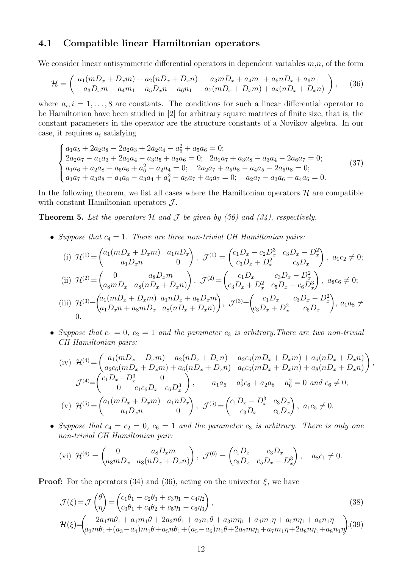### 4.1 Compatible linear Hamiltonian operators

We consider linear antisymmetric differential operators in dependent variables  $m,n$ , of the form

$$
\mathcal{H} = \begin{pmatrix} a_1(mD_x + D_x m) + a_2(nD_x + D_x n) & a_3 mD_x + a_4 m_1 + a_5 nD_x + a_6 n_1 \\ a_3 D_x m - a_4 m_1 + a_5 D_x n - a_6 n_1 & a_7(mD_x + D_x m) + a_8(nD_x + D_x n) \end{pmatrix},
$$
(36)

where  $a_i, i = 1, \ldots, 8$  are constants. The conditions for such a linear differential operator to be Hamiltonian have been studied in [2] for arbitrary square matrices of finite size, that is, the constant parameters in the operator are the structure constants of a Novikov algebra. In our case, it requires  $a_i$  satisfying

$$
\begin{cases}\na_1a_5 + 2a_2a_8 - 2a_2a_3 + 2a_2a_4 - a_5^2 + a_5a_6 = 0; \\
2a_2a_7 - a_1a_3 + 2a_1a_4 - a_3a_5 + a_3a_6 = 0; \quad 2a_1a_7 + a_3a_8 - a_3a_4 - 2a_6a_7 = 0; \\
a_1a_6 + a_2a_8 - a_5a_6 + a_6^2 - a_2a_4 = 0; \quad 2a_2a_7 + a_5a_8 - a_4a_5 - 2a_6a_8 = 0; \\
a_1a_7 + a_3a_8 - a_4a_8 - a_3a_4 + a_4^2 - a_5a_7 + a_6a_7 = 0; \quad a_2a_7 - a_3a_6 + a_4a_6 = 0.\n\end{cases} (37)
$$

In the following theorem, we list all cases where the Hamiltonian operators  $H$  are compatible with constant Hamiltonian operators  $J$ .

**Theorem 5.** Let the operators  $H$  and  $J$  be given by (36) and (34), respectively.

• Suppose that  $c_4 = 1$ . There are three non-trivial CH Hamiltonian pairs:

(i) 
$$
\mathcal{H}^{(1)} = \begin{pmatrix} a_1(mD_x + D_x m) & a_1 nD_x \\ a_1 D_x n & 0 \end{pmatrix}, \ \mathcal{J}^{(1)} = \begin{pmatrix} c_1 D_x - c_2 D_x^3 & c_3 D_x - D_x^2 \\ c_3 D_x + D_x^2 & c_5 D_x \end{pmatrix}, \ a_1 c_2 \neq 0;
$$
  
\n(ii)  $\mathcal{H}^{(2)} = \begin{pmatrix} 0 & a_8 D_x m \\ a_8 m D_x & a_8 (nD_x + D_x n) \end{pmatrix}, \ \mathcal{J}^{(2)} = \begin{pmatrix} c_1 D_x & c_3 D_x - D_x^2 \\ c_3 D_x + D_x^2 & c_5 D_x - c_6 D_x^3 \end{pmatrix}, \ a_8 c_6 \neq 0;$   
\n(iii)  $\mathcal{H}^{(3)} = \begin{pmatrix} a_1(mD_x + D_x m) & a_1 nD_x + a_8 D_x m \\ a_1 D_x n + a_8 m D_x & a_8 (nD_x + D_x n) \end{pmatrix}, \ \mathcal{J}^{(3)} = \begin{pmatrix} c_1 D_x & c_3 D_x - D_x^2 \\ c_3 D_x + D_x^2 & c_5 D_x \end{pmatrix}, \ a_1 a_8 \neq 0.$ 

• Suppose that  $c_4 = 0$ ,  $c_2 = 1$  and the parameter  $c_3$  is arbitrary. There are two non-trivial CH Hamiltonian pairs:

(iv) 
$$
\mathcal{H}^{(4)} = \begin{pmatrix} a_1(mD_x + D_x m) + a_2(nD_x + D_x n) & a_2c_6(mD_x + D_x m) + a_6(nD_x + D_x n) \\ a_2c_6(mD_x + D_x m) + a_6(nD_x + D_x n) & a_6c_6(mD_x + D_x m) + a_8(nD_x + D_x n) \end{pmatrix},
$$

$$
\mathcal{J}^{(4)} = \begin{pmatrix} c_1D_x - D_x^3 & 0 \\ 0 & c_1c_6D_x - c_6D_x^3 \end{pmatrix}, \qquad a_1a_6 - a_2^2c_6 + a_2a_8 - a_6^2 = 0 \text{ and } c_6 \neq 0;
$$
  
(v) 
$$
\mathcal{H}^{(5)} = \begin{pmatrix} a_1(mD_x + D_x m) & a_1nD_x \\ a_1D_x n & 0 \end{pmatrix}, \qquad \mathcal{J}^{(5)} = \begin{pmatrix} c_1D_x - D_x^3 & c_3D_x \\ c_3D_x & c_5D_x \end{pmatrix}, \qquad a_1c_5 \neq 0.
$$

• Suppose that  $c_4 = c_2 = 0$ ,  $c_6 = 1$  and the parameter  $c_3$  is arbitrary. There is only one non-trivial CH Hamiltonian pair:

$$
\text{(vi)} \ \mathcal{H}^{(6)} = \begin{pmatrix} 0 & a_8 D_x m \\ a_8 m D_x & a_8 (n D_x + D_x n) \end{pmatrix}, \ \mathcal{J}^{(6)} = \begin{pmatrix} c_1 D_x & c_3 D_x \\ c_3 D_x & c_5 D_x - D_x^3 \end{pmatrix}, \quad a_8 c_1 \neq 0.
$$

**Proof:** For the operators (34) and (36), acting on the univector  $\xi$ , we have

$$
\mathcal{J}(\xi) = \mathcal{J}\begin{pmatrix} \theta \\ \eta \end{pmatrix} = \begin{pmatrix} c_1\theta_1 - c_2\theta_3 + c_3\eta_1 - c_4\eta_2 \\ c_3\theta_1 + c_4\theta_2 + c_5\eta_1 - c_6\eta_3 \end{pmatrix},
$$
\n
$$
\mathcal{H}(\xi) = \begin{pmatrix} 2a_1m\theta_1 + a_1m_1\theta + 2a_2n\theta_1 + a_2n_1\theta + a_3mn_1 + a_4m_1\eta + a_5n\eta_1 + a_6n_1\eta \\ a_3m\theta_1 + (a_3 - a_4)m_1\theta + a_5n\theta_1 + (a_5 - a_6)n_1\theta + 2a_7mn_1 + a_7m_1\eta + 2a_8n\eta_1 + a_8n_1\eta \end{pmatrix},
$$
\n(39)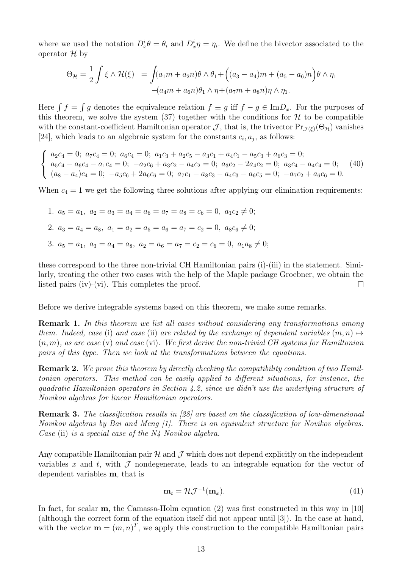where we used the notation  $D_x^i \theta = \theta_i$  and  $D_x^i \eta = \eta_i$ . We define the bivector associated to the operator  $\mathcal H$  by

$$
\Theta_{\mathcal{H}} = \frac{1}{2} \int \xi \wedge \mathcal{H}(\xi) = \int (a_1 m + a_2 n) \theta \wedge \theta_1 + ((a_3 - a_4)m + (a_5 - a_6)n) \theta \wedge \eta_1
$$

$$
-(a_4 m + a_6 n) \theta_1 \wedge \eta + (a_7 m + a_8 n) \eta \wedge \eta_1.
$$

Here  $\int f = \int g$  denotes the equivalence relation  $f \equiv g$  iff  $f - g \in \text{Im}D_x$ . For the purposes of this theorem, we solve the system  $(37)$  together with the conditions for  $H$  to be compatible with the constant-coefficient Hamiltonian operator  $\mathcal{J}$ , that is, the trivector  $Pr_{\mathcal{J}(\xi)}(\Theta_{\mathcal{H}})$  vanishes [24], which leads to an algebraic system for the constants  $c_i, a_j$ , as follows:

$$
\begin{cases}\na_2c_4 = 0; \ a_7c_4 = 0; \ a_6c_4 = 0; \ a_1c_3 + a_2c_5 - a_3c_1 + a_4c_1 - a_5c_3 + a_6c_3 = 0; \\
a_5c_4 - a_6c_4 - a_1c_4 = 0; \ -a_2c_6 + a_3c_2 - a_4c_2 = 0; \ a_3c_2 - 2a_4c_2 = 0; \ a_3c_4 - a_4c_4 = 0; \\
(a_8 - a_4)c_4 = 0; \ -a_5c_6 + 2a_6c_6 = 0; \ a_7c_1 + a_8c_3 - a_4c_3 - a_6c_5 = 0; \ -a_7c_2 + a_6c_6 = 0.\n\end{cases}
$$
\n(40)

When  $c_4 = 1$  we get the following three solutions after applying our elimination requirements:

1. 
$$
a_5 = a_1
$$
,  $a_2 = a_3 = a_4 = a_6 = a_7 = a_8 = c_6 = 0$ ,  $a_1c_2 \neq 0$ ;  
\n2.  $a_3 = a_4 = a_8$ ,  $a_1 = a_2 = a_5 = a_6 = a_7 = c_2 = 0$ ,  $a_8c_6 \neq 0$ ;  
\n3.  $a_5 = a_1$ ,  $a_3 = a_4 = a_8$ ,  $a_2 = a_6 = a_7 = c_2 = c_6 = 0$ ,  $a_1a_8 \neq 0$ ;

these correspond to the three non-trivial CH Hamiltonian pairs (i)-(iii) in the statement. Similarly, treating the other two cases with the help of the Maple package Groebner, we obtain the listed pairs (iv)-(vi). This completes the proof.  $\Box$ 

Before we derive integrable systems based on this theorem, we make some remarks.

Remark 1. In this theorem we list all cases without considering any transformations among them. Indeed, case (i) and case (ii) are related by the exchange of dependent variables  $(m, n) \mapsto$  $(n, m)$ , as are case (v) and case (vi). We first derive the non-trivial CH systems for Hamiltonian pairs of this type. Then we look at the transformations between the equations.

**Remark 2.** We prove this theorem by directly checking the compatibility condition of two Hamiltonian operators. This method can be easily applied to different situations, for instance, the quadratic Hamiltonian operators in Section 4.2, since we didn't use the underlying structure of Novikov algebras for linear Hamiltonian operators.

Remark 3. The classification results in [28] are based on the classification of low-dimensional Novikov algebras by Bai and Meng [1]. There is an equivalent structure for Novikov algebras. Case (ii) is a special case of the N4 Novikov algebra.

Any compatible Hamiltonian pair  $\mathcal H$  and  $\mathcal J$  which does not depend explicitly on the independent variables x and t, with  $\mathcal J$  nondegenerate, leads to an integrable equation for the vector of dependent variables m, that is

$$
\mathbf{m}_t = \mathcal{H}\mathcal{J}^{-1}(\mathbf{m}_x). \tag{41}
$$

In fact, for scalar **m**, the Camassa-Holm equation (2) was first constructed in this way in [10] (although the correct form of the equation itself did not appear until [3]). In the case at hand, with the vector  $\mathbf{m} = (m, n)^T$ , we apply this construction to the compatible Hamiltonian pairs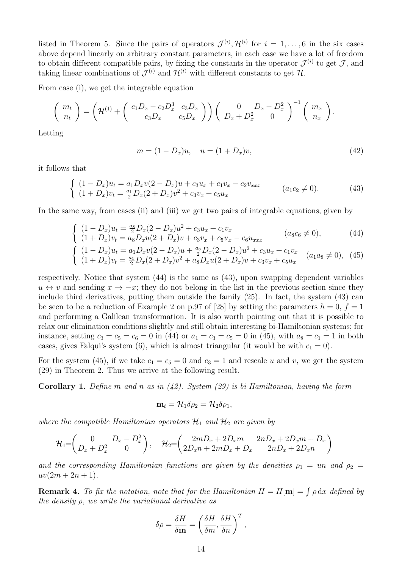listed in Theorem 5. Since the pairs of operators  $\mathcal{J}^{(i)}$ ,  $\mathcal{H}^{(i)}$  for  $i = 1, \ldots, 6$  in the six cases above depend linearly on arbitrary constant parameters, in each case we have a lot of freedom to obtain different compatible pairs, by fixing the constants in the operator  $\mathcal{J}^{(i)}$  to get  $\mathcal{J}$ , and taking linear combinations of  $\mathcal{J}^{(i)}$  and  $\mathcal{H}^{(i)}$  with different constants to get  $\mathcal{H}$ .

From case (i), we get the integrable equation

$$
\begin{pmatrix} m_t \\ n_t \end{pmatrix} = \left( \mathcal{H}^{(1)} + \begin{pmatrix} c_1 D_x - c_2 D_x^3 & c_3 D_x \\ c_3 D_x & c_5 D_x \end{pmatrix} \right) \begin{pmatrix} 0 & D_x - D_x^2 \\ D_x + D_x^2 & 0 \end{pmatrix}^{-1} \begin{pmatrix} m_x \\ n_x \end{pmatrix}.
$$

Letting

$$
m = (1 - D_x)u, \quad n = (1 + D_x)v,
$$
\n(42)

it follows that

$$
\begin{cases}\n(1 - D_x)u_t = a_1 D_x v (2 - D_x)u + c_3 u_x + c_1 v_x - c_2 v_{xxx} \\
(1 + D_x) v_t = \frac{a_1}{2} D_x (2 + D_x) v^2 + c_3 v_x + c_5 u_x\n\end{cases} \qquad (a_1 c_2 \neq 0).
$$
\n(43)

In the same way, from cases (ii) and (iii) we get two pairs of integrable equations, given by

$$
\begin{cases}\n(1 - D_x)u_t = \frac{a_8}{2}D_x(2 - D_x)u^2 + c_3u_x + c_1v_x \\
(1 + D_x)v_t = a_8D_xu(2 + D_x)v + c_3v_x + c_5u_x - c_6u_{xxx}\n\end{cases}\n\qquad (a_8c_6 \neq 0),
$$
\n(44)

$$
\begin{cases}\n(1 - D_x)u_t = a_1 D_x v (2 - D_x)u + \frac{a_8}{2} D_x (2 - D_x)u^2 + c_3 u_x + c_1 v_x \\
(1 + D_x)v_t = \frac{a_1}{2} D_x (2 + D_x) v^2 + a_8 D_x u (2 + D_x) v + c_3 v_x + c_5 u_x\n\end{cases} (a_1 a_8 \neq 0),
$$
\n(45)

respectively. Notice that system (44) is the same as (43), upon swapping dependent variables  $u \leftrightarrow v$  and sending  $x \to -x$ ; they do not belong in the list in the previous section since they include third derivatives, putting them outside the family (25). In fact, the system (43) can be seen to be a reduction of Example 2 on p.97 of [28] by setting the parameters  $h = 0$ ,  $f = 1$ and performing a Galilean transformation. It is also worth pointing out that it is possible to relax our elimination conditions slightly and still obtain interesting bi-Hamiltonian systems; for instance, setting  $c_3 = c_5 = c_6 = 0$  in (44) or  $a_1 = c_3 = c_5 = 0$  in (45), with  $a_8 = c_1 = 1$  in both cases, gives Falqui's system (6), which is almost triangular (it would be with  $c_1 = 0$ ).

For the system (45), if we take  $c_1 = c_5 = 0$  and  $c_3 = 1$  and rescale u and v, we get the system (29) in Theorem 2. Thus we arrive at the following result.

**Corollary 1.** Define m and n as in  $(42)$ . System  $(29)$  is bi-Hamiltonian, having the form

$$
\mathbf{m}_t = \mathcal{H}_1 \delta \rho_2 = \mathcal{H}_2 \delta \rho_1,
$$

where the compatible Hamiltonian operators  $\mathcal{H}_1$  and  $\mathcal{H}_2$  are given by

$$
\mathcal{H}_1 = \begin{pmatrix} 0 & D_x - D_x^2 \\ D_x + D_x^2 & 0 \end{pmatrix}, \quad \mathcal{H}_2 = \begin{pmatrix} 2mD_x + 2D_x m & 2nD_x + 2D_x m + D_x \\ 2D_x n + 2mD_x + D_x & 2nD_x + 2D_x n \end{pmatrix}
$$

and the corresponding Hamiltonian functions are given by the densities  $\rho_1 = u n$  and  $\rho_2 =$  $uv(2m + 2n + 1).$ 

**Remark 4.** To fix the notation, note that for the Hamiltonian  $H = H[\mathbf{m}] = \int \rho \, dx$  defined by the density  $\rho$ , we write the variational derivative as

$$
\delta \rho = \frac{\delta H}{\delta \mathbf{m}} = \left(\frac{\delta H}{\delta m}, \frac{\delta H}{\delta n}\right)^T,
$$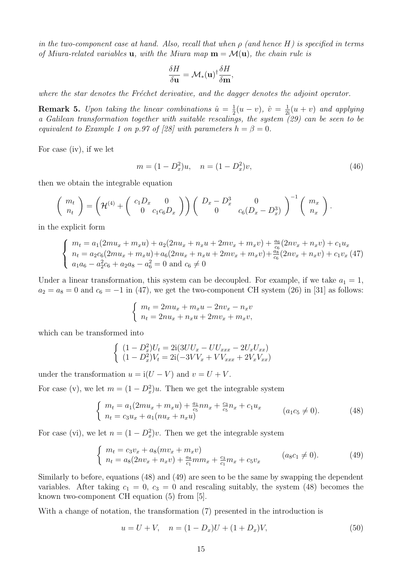in the two-component case at hand. Also, recall that when  $\rho$  (and hence H) is specified in terms of Miura-related variables **u**, with the Miura map  $\mathbf{m} = \mathcal{M}(\mathbf{u})$ , the chain rule is

$$
\frac{\delta H}{\delta \mathbf{u}} = \mathcal{M}_*(\mathbf{u})^\dagger \frac{\delta H}{\delta \mathbf{m}},
$$

where the star denotes the Fréchet derivative, and the dagger denotes the adjoint operator.

**Remark 5.** Upon taking the linear combinations  $\hat{u} = \frac{1}{2}$  $\frac{1}{2}(u-v), \hat{v} = \frac{1}{2i}(u+v)$  and applying a Galilean transformation together with suitable rescalings, the system (29) can be seen to be equivalent to Example 1 on p.97 of [28] with parameters  $h = \beta = 0$ .

For case (iv), if we let

$$
m = (1 - D_x^2)u, \quad n = (1 - D_x^2)v,
$$
\n(46)

then we obtain the integrable equation

$$
\begin{pmatrix} m_t \\ n_t \end{pmatrix} = \left( \mathcal{H}^{(4)} + \begin{pmatrix} c_1 D_x & 0 \\ 0 & c_1 c_6 D_x \end{pmatrix} \right) \begin{pmatrix} D_x - D_x^3 & 0 \\ 0 & c_6 (D_x - D_x^3) \end{pmatrix}^{-1} \begin{pmatrix} m_x \\ n_x \end{pmatrix}.
$$

in the explicit form

$$
\begin{cases}\nm_t = a_1(2mu_x + m_x u) + a_2(2nu_x + n_x u + 2mv_x + m_x v) + \frac{a_6}{c_6}(2nv_x + n_x v) + c_1 u_x \\
n_t = a_2 c_6(2mu_x + m_x u) + a_6(2nu_x + n_x u + 2mv_x + m_x v) + \frac{a_8}{c_6}(2nv_x + n_x v) + c_1 v_x (47) \\
a_1 a_6 - a_2^2 c_6 + a_2 a_8 - a_6^2 = 0 \text{ and } c_6 \neq 0\n\end{cases}
$$

Under a linear transformation, this system can be decoupled. For example, if we take  $a_1 = 1$ ,  $a_2 = a_8 = 0$  and  $c_6 = -1$  in (47), we get the two-component CH system (26) in [31] as follows:

$$
\begin{cases}\nm_t = 2mu_x + m_x u - 2nv_x - n_x v \\
n_t = 2nu_x + n_x u + 2mv_x + m_x v,\n\end{cases}
$$

which can be transformed into

$$
\begin{cases}\n(1 - D_x^2)U_t = 2i(3UU_x - UU_{xxx} - 2U_xU_{xx}) \\
(1 - D_x^2)V_t = 2i(-3VV_x + VV_{xxx} + 2V_xV_{xx})\n\end{cases}
$$

under the transformation  $u = i(U - V)$  and  $v = U + V$ .

For case (v), we let  $m = (1 - D_x^2)u$ . Then we get the integrable system

$$
\begin{cases}\n m_t = a_1(2mu_x + m_x u) + \frac{a_1}{c_5} n n_x + \frac{c_3}{c_5} n_x + c_1 u_x \\
 n_t = c_3 u_x + a_1(nu_x + n_x u)\n\end{cases}\n\tag{48}
$$

For case (vi), we let  $n = (1 - D_x^2)v$ . Then we get the integrable system

$$
\begin{cases}\nm_t = c_3 v_x + a_8(mv_x + m_x v) \\
n_t = a_8(2nv_x + n_x v) + \frac{a_8}{c_1} m m_x + \frac{c_3}{c_1} m_x + c_5 v_x\n\end{cases} \quad (a_8 c_1 \neq 0).
$$
\n(49)

Similarly to before, equations (48) and (49) are seen to be the same by swapping the dependent variables. After taking  $c_1 = 0$ ,  $c_3 = 0$  and rescaling suitably, the system (48) becomes the known two-component CH equation (5) from [5].

With a change of notation, the transformation (7) presented in the introduction is

$$
u = U + V, \quad n = (1 - D_x)U + (1 + D_x)V,\tag{50}
$$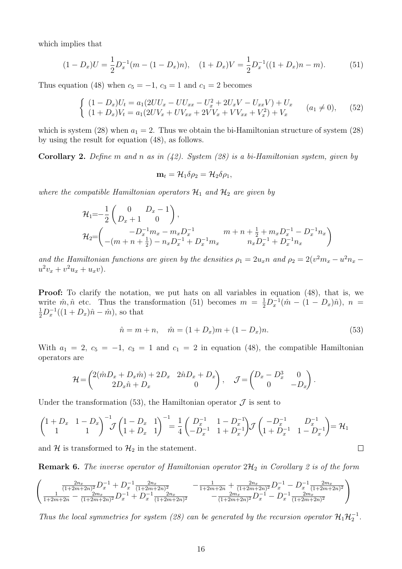which implies that

$$
(1 - D_x)U = \frac{1}{2}D_x^{-1}(m - (1 - D_x)n), \quad (1 + D_x)V = \frac{1}{2}D_x^{-1}((1 + D_x)n - m). \tag{51}
$$

Thus equation (48) when  $c_5 = -1$ ,  $c_3 = 1$  and  $c_1 = 2$  becomes

$$
\begin{cases}\n(1 - D_x)U_t = a_1(2UU_x - UU_{xx} - U_x^2 + 2U_xV - U_{xx}V) + U_x \\
(1 + D_x)V_t = a_1(2UV_x + UV_{xx} + 2VV_x + VV_{xx} + V_x^2) + V_x\n\end{cases}\n\quad (a_1 \neq 0),
$$
\n(52)

which is system (28) when  $a_1 = 2$ . Thus we obtain the bi-Hamiltonian structure of system (28) by using the result for equation (48), as follows.

**Corollary 2.** Define m and n as in  $(42)$ . System  $(28)$  is a bi-Hamiltonian system, given by

$$
\mathbf{m}_t = \mathcal{H}_1 \delta \rho_2 = \mathcal{H}_2 \delta \rho_1,
$$

where the compatible Hamiltonian operators  $\mathcal{H}_1$  and  $\mathcal{H}_2$  are given by

$$
\mathcal{H}_{1} = -\frac{1}{2} \begin{pmatrix} 0 & D_{x} - 1 \ D_{x} + 1 & 0 \end{pmatrix},
$$
  
\n
$$
\mathcal{H}_{2} = \begin{pmatrix} -D_{x}^{-1}m_{x} - m_{x}D_{x}^{-1} & m + n + \frac{1}{2} + m_{x}D_{x}^{-1} - D_{x}^{-1}n_{x} \ -(m + n + \frac{1}{2}) - n_{x}D_{x}^{-1} + D_{x}^{-1}m_{x} & n_{x}D_{x}^{-1} + D_{x}^{-1}n_{x} \end{pmatrix}
$$

and the Hamiltonian functions are given by the densities  $\rho_1 = 2u_x n$  and  $\rho_2 = 2(v^2 m_x - u^2 n_x$  $u^2v_x + v^2u_x + u_xv$ .

Proof: To clarify the notation, we put hats on all variables in equation (48), that is, we write  $\hat{m}, \hat{n}$  etc. Thus the transformation (51) becomes  $m = \frac{1}{2} D_x^{-1} (\hat{m} - (1 - D_x)\hat{n}), n =$  $\frac{1}{2}D_x^{-1}((1+D_x)\hat{n}-\hat{m}),$  so that

$$
\hat{n} = m + n, \quad \hat{m} = (1 + D_x)m + (1 - D_x)n. \tag{53}
$$

 $\Box$ 

With  $a_1 = 2$ ,  $c_5 = -1$ ,  $c_3 = 1$  and  $c_1 = 2$  in equation (48), the compatible Hamiltonian operators are

$$
\mathcal{H} = \begin{pmatrix} 2(\hat{m}D_x + D_x \hat{m}) + 2D_x & 2\hat{n}D_x + D_x \\ 2D_x \hat{n} + D_x & 0 \end{pmatrix}, \quad \mathcal{J} = \begin{pmatrix} D_x - D_x^3 & 0 \\ 0 & -D_x \end{pmatrix}.
$$

Under the transformation (53), the Hamiltonian operator  $\mathcal J$  is sent to

$$
\begin{pmatrix} 1+D_x & 1-D_x \ 1 & 1 \end{pmatrix}^{-1} \mathcal{J} \begin{pmatrix} 1-D_x & 1 \ 1+D_x & 1 \end{pmatrix}^{-1} = \frac{1}{4} \begin{pmatrix} D_x^{-1} & 1-D_x^{-1} \ -D_x^{-1} & 1+D_x^{-1} \end{pmatrix} \mathcal{J} \begin{pmatrix} -D_x^{-1} & D_x^{-1} \ 1+D_x^{-1} & 1-D_x^{-1} \end{pmatrix} = \mathcal{H}_1
$$

and H is transformed to  $\mathcal{H}_2$  in the statement.

**Remark 6.** The inverse operator of Hamiltonian operator  $2\mathcal{H}_2$  in Corollary 2 is of the form

$$
\begin{pmatrix}\n\frac{2n_x}{(1+2m+2n)^2}D_x^{-1} + D_x^{-1}\frac{2n_x}{(1+2m+2n)^2} & -\frac{1}{1+2m+2n} + \frac{2n_x}{(1+2m+2n)^2}D_x^{-1} - D_x^{-1}\frac{2n_x}{(1+2m+2n)^2} \\
\frac{2n_x}{1+2m+2n} - \frac{2n_x}{(1+2m+2n)^2}D_x^{-1} + D_x^{-1}\frac{2n_x}{(1+2m+2n)^2} & -\frac{2m_x}{(1+2m+2n)^2}D_x^{-1} - D_x^{-1}\frac{2n_x}{(1+2m+2n)^2}\n\end{pmatrix}
$$

Thus the local symmetries for system (28) can be generated by the recursion operator  $\mathcal{H}_1 \mathcal{H}_2^{-1}$ .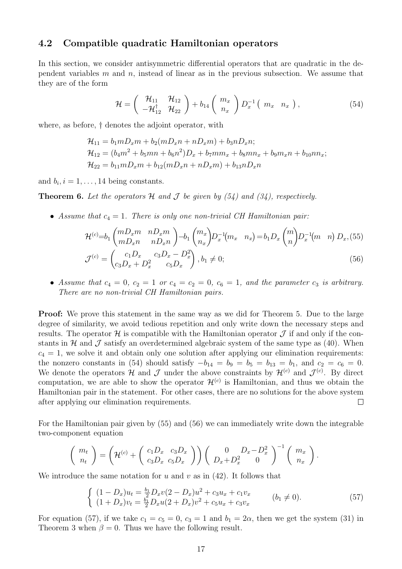### 4.2 Compatible quadratic Hamiltonian operators

In this section, we consider antisymmetric differential operators that are quadratic in the dependent variables  $m$  and  $n$ , instead of linear as in the previous subsection. We assume that they are of the form

$$
\mathcal{H} = \left(\begin{array}{cc} \mathcal{H}_{11} & \mathcal{H}_{12} \\ -\mathcal{H}_{12}^{\dagger} & \mathcal{H}_{22} \end{array}\right) + b_{14} \left(\begin{array}{c} m_x \\ n_x \end{array}\right) D_x^{-1} \left(\begin{array}{cc} m_x & n_x \end{array}\right), \tag{54}
$$

where, as before, † denotes the adjoint operator, with

 $\mathcal{H}_{11} = b_1 m D_x m + b_2 (m D_x n + n D_x m) + b_3 n D_x n;$  $\mathcal{H}_{12} = (b_4 m^2 + b_5 m n + b_6 n^2)D_x + b_7 m m_x + b_8 m n_x + b_9 m_x n + b_{10} n n_x;$  $\mathcal{H}_{22} = b_{11}mD_r m + b_{12}(mD_r n + nD_r m) + b_{13}nD_r n$ 

and  $b_i$ ,  $i = 1, \ldots, 14$  being constants.

**Theorem 6.** Let the operators  $H$  and  $J$  be given by (54) and (34), respectively.

• Assume that  $c_4 = 1$ . There is only one non-trivial CH Hamiltonian pair:

$$
\mathcal{H}^{(c)} = b_1 \begin{pmatrix} mD_x m & nD_x m \\ mD_x n & nD_x n \end{pmatrix} - b_1 \begin{pmatrix} m_x \\ n_x \end{pmatrix} D_x^{-1} (m_x \quad n_x) = b_1 D_x \begin{pmatrix} m \\ n \end{pmatrix} D_x^{-1} (m \quad n) D_x, (55)
$$

$$
\mathcal{J}^{(c)} = \begin{pmatrix} c_1 D_x & c_3 D_x - D_x^2 \\ c_3 D_x + D_x^2 & c_5 D_x \end{pmatrix}, b_1 \neq 0;
$$
(56)

• Assume that  $c_4 = 0$ ,  $c_2 = 1$  or  $c_4 = c_2 = 0$ ,  $c_6 = 1$ , and the parameter  $c_3$  is arbitrary. There are no non-trivial CH Hamiltonian pairs.

Proof: We prove this statement in the same way as we did for Theorem 5. Due to the large degree of similarity, we avoid tedious repetition and only write down the necessary steps and results. The operator  $\mathcal H$  is compatible with the Hamiltonian operator  $\mathcal J$  if and only if the constants in  $H$  and  $J$  satisfy an overdetermined algebraic system of the same type as (40). When  $c_4 = 1$ , we solve it and obtain only one solution after applying our elimination requirements: the nonzero constants in (54) should satisfy  $-b_{14} = b_9 = b_5 = b_{13} = b_1$ , and  $c_2 = c_6 = 0$ . We denote the operators H and J under the above constraints by  $\mathcal{H}^{(c)}$  and  $\mathcal{J}^{(c)}$ . By direct computation, we are able to show the operator  $\mathcal{H}^{(c)}$  is Hamiltonian, and thus we obtain the Hamiltonian pair in the statement. For other cases, there are no solutions for the above system after applying our elimination requirements.  $\Box$ 

For the Hamiltonian pair given by (55) and (56) we can immediately write down the integrable two-component equation

$$
\begin{pmatrix} m_t \\ n_t \end{pmatrix} = \left( \mathcal{H}^{(c)} + \begin{pmatrix} c_1 D_x & c_3 D_x \\ c_3 D_x & c_5 D_x \end{pmatrix} \right) \begin{pmatrix} 0 & D_x - D_x^2 \\ D_x + D_x^2 & 0 \end{pmatrix}^{-1} \begin{pmatrix} m_x \\ n_x \end{pmatrix}.
$$

We introduce the same notation for  $u$  and  $v$  as in (42). It follows that

$$
\begin{cases}\n(1 - D_x)u_t = \frac{b_1}{2}D_x v(2 - D_x)u^2 + c_3 u_x + c_1 v_x \\
(1 + D_x)v_t = \frac{b_1}{2}D_x u(2 + D_x)v^2 + c_5 u_x + c_3 v_x\n\end{cases} \qquad (b_1 \neq 0).
$$
\n(57)

For equation (57), if we take  $c_1 = c_5 = 0$ ,  $c_3 = 1$  and  $b_1 = 2\alpha$ , then we get the system (31) in Theorem 3 when  $\beta = 0$ . Thus we have the following result.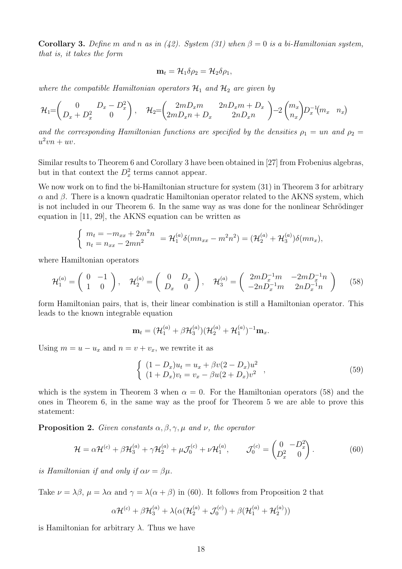Corollary 3. Define m and n as in (42). System (31) when  $\beta = 0$  is a bi-Hamiltonian system, that is, it takes the form

$$
\mathbf{m}_t = \mathcal{H}_1 \delta \rho_2 = \mathcal{H}_2 \delta \rho_1,
$$

where the compatible Hamiltonian operators  $\mathcal{H}_1$  and  $\mathcal{H}_2$  are given by

$$
\mathcal{H}_1 = \begin{pmatrix} 0 & D_x - D_x^2 \\ D_x + D_x^2 & 0 \end{pmatrix}, \quad \mathcal{H}_2 = \begin{pmatrix} 2mD_xm & 2nD_xm + D_x \\ 2mD_xn + D_x & 2nD_xn \end{pmatrix} - 2 \begin{pmatrix} m_x \\ n_x \end{pmatrix} D_x^{-1} (m_x - n_x)
$$

and the corresponding Hamiltonian functions are specified by the densities  $\rho_1 =$ un and  $\rho_2 =$  $u^2vn + uv.$ 

Similar results to Theorem 6 and Corollary 3 have been obtained in [27] from Frobenius algebras, but in that context the  $D_x^2$  terms cannot appear.

We now work on to find the bi-Hamiltonian structure for system  $(31)$  in Theorem 3 for arbitrary  $\alpha$  and  $\beta$ . There is a known quadratic Hamiltonian operator related to the AKNS system, which is not included in our Theorem 6. In the same way as was done for the nonlinear Schrödinger equation in [11, 29], the AKNS equation can be written as

$$
\begin{cases}\nm_t = -m_{xx} + 2m^2n \\
n_t = n_{xx} - 2mn^2\n\end{cases} = \mathcal{H}_1^{(a)} \delta(mn_{xx} - m^2n^2) = (\mathcal{H}_2^{(a)} + \mathcal{H}_3^{(a)})\delta(mn_x),
$$

where Hamiltonian operators

$$
\mathcal{H}_1^{(a)} = \begin{pmatrix} 0 & -1 \\ 1 & 0 \end{pmatrix}, \quad \mathcal{H}_2^{(a)} = \begin{pmatrix} 0 & D_x \\ D_x & 0 \end{pmatrix}, \quad \mathcal{H}_3^{(a)} = \begin{pmatrix} 2mD_x^{-1}m & -2mD_x^{-1}n \\ -2nD_x^{-1}m & 2nD_x^{-1}n \end{pmatrix} \tag{58}
$$

form Hamiltonian pairs, that is, their linear combination is still a Hamiltonian operator. This leads to the known integrable equation

$$
\mathbf{m}_{t}=(\mathcal{H}_{1}^{(a)}+\beta\mathcal{H}_{3}^{(a)})(\mathcal{H}_{2}^{(a)}+\mathcal{H}_{1}^{(a)})^{-1}\mathbf{m}_{x}.
$$

Using  $m = u - u_x$  and  $n = v + v_x$ , we rewrite it as

$$
\begin{cases}\n(1 - D_x)u_t = u_x + \beta v(2 - D_x)u^2 \\
(1 + D_x)v_t = v_x - \beta u(2 + D_x)v^2\n\end{cases},
$$
\n(59)

which is the system in Theorem 3 when  $\alpha = 0$ . For the Hamiltonian operators (58) and the ones in Theorem 6, in the same way as the proof for Theorem 5 we are able to prove this statement:

**Proposition 2.** Given constants  $\alpha, \beta, \gamma, \mu$  and  $\nu$ , the operator

$$
\mathcal{H} = \alpha \mathcal{H}^{(c)} + \beta \mathcal{H}_3^{(a)} + \gamma \mathcal{H}_2^{(a)} + \mu \mathcal{J}_0^{(c)} + \nu \mathcal{H}_1^{(a)}, \qquad \mathcal{J}_0^{(c)} = \begin{pmatrix} 0 & -D_x^2 \\ D_x^2 & 0 \end{pmatrix}.
$$
 (60)

is Hamiltonian if and only if  $\alpha \nu = \beta \mu$ .

Take  $\nu = \lambda \beta$ ,  $\mu = \lambda \alpha$  and  $\gamma = \lambda(\alpha + \beta)$  in (60). It follows from Proposition 2 that

$$
\alpha \mathcal{H}^{(c)} + \beta \mathcal{H}_3^{(a)} + \lambda (\alpha (\mathcal{H}_2^{(a)} + \mathcal{J}_0^{(c)}) + \beta (\mathcal{H}_1^{(a)} + \mathcal{H}_2^{(a)}))
$$

is Hamiltonian for arbitrary  $\lambda$ . Thus we have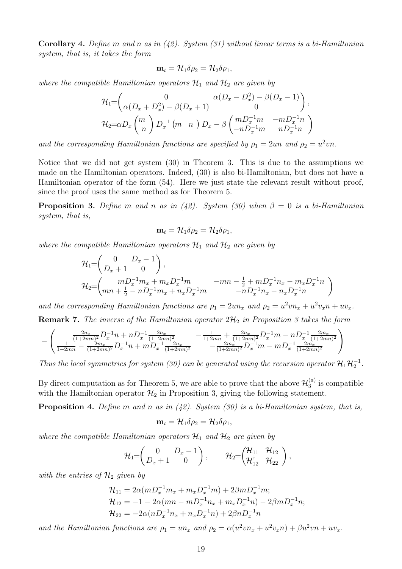**Corollary 4.** Define m and n as in  $(42)$ . System  $(31)$  without linear terms is a bi-Hamiltonian system, that is, it takes the form

$$
\mathbf{m}_t = \mathcal{H}_1 \delta \rho_2 = \mathcal{H}_2 \delta \rho_1,
$$

where the compatible Hamiltonian operators  $\mathcal{H}_1$  and  $\mathcal{H}_2$  are given by

$$
\mathcal{H}_{1} = \begin{pmatrix} 0 & \alpha(D_x - D_x^2) - \beta(D_x - 1) \\ \alpha(D_x + D_x^2) - \beta(D_x + 1) & 0 \end{pmatrix},
$$
  
\n
$$
\mathcal{H}_{2} = \alpha D_x \begin{pmatrix} m \\ n \end{pmatrix} D_x^{-1} \begin{pmatrix} m & n \end{pmatrix} D_x - \beta \begin{pmatrix} mD_x^{-1}m & -mD_x^{-1}n \\ -nD_x^{-1}m & nD_x^{-1}n \end{pmatrix}
$$

and the corresponding Hamiltonian functions are specified by  $\rho_1 = 2un$  and  $\rho_2 = u^2vn$ .

Notice that we did not get system (30) in Theorem 3. This is due to the assumptions we made on the Hamiltonian operators. Indeed, (30) is also bi-Hamiltonian, but does not have a Hamiltonian operator of the form (54). Here we just state the relevant result without proof, since the proof uses the same method as for Theorem 5.

**Proposition 3.** Define m and n as in (42). System (30) when  $\beta = 0$  is a bi-Hamiltonian system, that is,

$$
\mathbf{m}_t = \mathcal{H}_1 \delta \rho_2 = \mathcal{H}_2 \delta \rho_1,
$$

where the compatible Hamiltonian operators  $\mathcal{H}_1$  and  $\mathcal{H}_2$  are given by

$$
\mathcal{H}_{1} = \begin{pmatrix} 0 & D_x - 1 \ D_x + 1 & 0 \end{pmatrix},
$$
  
\n
$$
\mathcal{H}_{2} = \begin{pmatrix} mD_x^{-1}m_x + m_xD_x^{-1}m & -mn - \frac{1}{2} + mD_x^{-1}n_x - m_xD_x^{-1}n \\ mn + \frac{1}{2} - nD_x^{-1}m_x + n_xD_x^{-1}m & -nD_x^{-1}n_x - n_xD_x^{-1}n \end{pmatrix}
$$

and the corresponding Hamiltonian functions are  $\rho_1 = 2un_x$  and  $\rho_2 = u^2vn_x + u^2v_x + uv_x$ .

**Remark 7.** The inverse of the Hamiltonian operator  $2\mathcal{H}_2$  in Proposition 3 takes the form

$$
-\left(\frac{\frac{2n_x}{(1+2mn)^2}D_x^{-1}n + nD_x^{-1}\frac{2n_x}{(1+2mn)^2}}{\frac{2n_x}{1+2mn} - \frac{2n_x}{(1+2mn)^2}D_x^{-1}n + mD_x^{-1}\frac{2n_x}{(1+2mn)^2}} - \frac{1}{1+2mn} + \frac{2n_x}{(1+2mn)^2}D_x^{-1}m - nD_x^{-1}\frac{2n_x}{(1+2mn)^2}\right)
$$

Thus the local symmetries for system (30) can be generated using the recursion operator  $\mathcal{H}_1 \mathcal{H}_2^{-1}$ .

By direct computation as for Theorem 5, we are able to prove that the above  $\mathcal{H}_3^{(a)}$  $\binom{a}{3}$  is compatible with the Hamiltonian operator  $\mathcal{H}_2$  in Proposition 3, giving the following statement.

**Proposition 4.** Define m and n as in  $(42)$ . System  $(30)$  is a bi-Hamiltonian system, that is,

$$
\mathbf{m}_t = \mathcal{H}_1 \delta \rho_2 = \mathcal{H}_2 \delta \rho_1,
$$

where the compatible Hamiltonian operators  $\mathcal{H}_1$  and  $\mathcal{H}_2$  are given by

$$
\mathcal{H}_1=\begin{pmatrix}0&D_x-1\\D_x+1&0\end{pmatrix},\qquad \mathcal{H}_2=\begin{pmatrix}\mathcal{H}_{11}&\mathcal{H}_{12}\\ \mathcal{H}_{12}^{\dagger}&\mathcal{H}_{22}\end{pmatrix},
$$

with the entries of  $\mathcal{H}_2$  given by

$$
\mathcal{H}_{11} = 2\alpha (mD_x^{-1}m_x + m_x D_x^{-1}m) + 2\beta mD_x^{-1}m; \n\mathcal{H}_{12} = -1 - 2\alpha (mn - mD_x^{-1}n_x + m_x D_x^{-1}n) - 2\beta mD_x^{-1}n; \n\mathcal{H}_{22} = -2\alpha (nD_x^{-1}n_x + n_x D_x^{-1}n) + 2\beta nD_x^{-1}n
$$

and the Hamiltonian functions are  $\rho_1 = un_x$  and  $\rho_2 = \alpha(u^2vn_x + u^2v_xn) + \beta u^2vn + uv_x$ .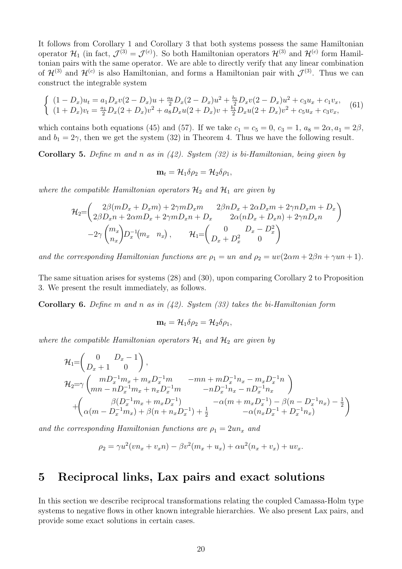It follows from Corollary 1 and Corollary 3 that both systems possess the same Hamiltonian operator  $\mathcal{H}_1$  (in fact,  $\mathcal{J}^{(3)} = \mathcal{J}^{(c)}$ ). So both Hamiltonian operators  $\mathcal{H}^{(3)}$  and  $\mathcal{H}^{(c)}$  form Hamiltonian pairs with the same operator. We are able to directly verify that any linear combination of  $\mathcal{H}^{(3)}$  and  $\mathcal{H}^{(c)}$  is also Hamiltonian, and forms a Hamiltonian pair with  $\mathcal{J}^{(3)}$ . Thus we can construct the integrable system

$$
\begin{cases}\n(1 - D_x)u_t = a_1 D_x v (2 - D_x)u + \frac{a_8}{2} D_x (2 - D_x)u^2 + \frac{b_1}{2} D_x v (2 - D_x)u^2 + c_3 u_x + c_1 v_x, \\
(1 + D_x)v_t = \frac{a_1}{2} D_x (2 + D_x) v^2 + a_8 D_x u (2 + D_x) v + \frac{b_1}{2} D_x u (2 + D_x) v^2 + c_5 u_x + c_3 v_x,\n\end{cases}
$$
\n(61)

which contains both equations (45) and (57). If we take  $c_1 = c_5 = 0$ ,  $c_3 = 1$ ,  $a_8 = 2\alpha$ ,  $a_1 = 2\beta$ , and  $b_1 = 2\gamma$ , then we get the system (32) in Theorem 4. Thus we have the following result.

**Corollary 5.** Define m and n as in  $(42)$ . System  $(32)$  is bi-Hamiltonian, being given by

$$
\mathbf{m}_t = \mathcal{H}_1 \delta \rho_2 = \mathcal{H}_2 \delta \rho_1,
$$

where the compatible Hamiltonian operators  $\mathcal{H}_2$  and  $\mathcal{H}_1$  are given by

$$
\mathcal{H}_{2} = \begin{pmatrix} 2\beta (mD_x + D_x m) + 2\gamma m D_x m & 2\beta n D_x + 2\alpha D_x m + 2\gamma n D_x m + D_x \\ 2\beta D_x n + 2\alpha m D_x + 2\gamma m D_x n + D_x & 2\alpha (nD_x + D_x n) + 2\gamma n D_x n \\ -2\gamma \binom{m_x}{n_x} D_x^{-1} (m_x \quad n_x), & \mathcal{H}_1 = \begin{pmatrix} 0 & D_x - D_x^2 \\ D_x + D_x^2 & 0 \end{pmatrix} \end{pmatrix}
$$

and the corresponding Hamiltonian functions are  $\rho_1 = un$  and  $\rho_2 = uv(2\alpha m + 2\beta n + \gamma un + 1)$ .

The same situation arises for systems (28) and (30), upon comparing Corollary 2 to Proposition 3. We present the result immediately, as follows.

**Corollary 6.** Define m and n as in  $(42)$ . System  $(33)$  takes the bi-Hamiltonian form

$$
\mathbf{m}_t = \mathcal{H}_1 \delta \rho_2 = \mathcal{H}_2 \delta \rho_1,
$$

where the compatible Hamiltonian operators  $\mathcal{H}_1$  and  $\mathcal{H}_2$  are given by

$$
\mathcal{H}_{1} = \begin{pmatrix} 0 & D_x - 1 \ D_x + 1 & 0 \end{pmatrix},
$$
\n
$$
\mathcal{H}_{2} = \gamma \begin{pmatrix} mD_x^{-1}m_x + m_xD_x^{-1}m & -mn + mD_x^{-1}n_x - m_xD_x^{-1}n \\ mn - nD_x^{-1}m_x + n_xD_x^{-1}m & -nD_x^{-1}n_x - nD_x^{-1}n_x \end{pmatrix}
$$
\n
$$
+ \begin{pmatrix} \beta(D_x^{-1}m_x + m_xD_x^{-1}) & -\alpha(m + m_xD_x^{-1}) - \beta(n - D_x^{-1}n_x) - \frac{1}{2} \\ \alpha(m - D_x^{-1}m_x) + \beta(n + n_xD_x^{-1}) + \frac{1}{2} & -\alpha(n_xD_x^{-1} + D_x^{-1}n_x) \end{pmatrix}
$$

and the corresponding Hamiltonian functions are  $\rho_1 = 2u n_x$  and

$$
\rho_2 = \gamma u^2 (v n_x + v_x n) - \beta v^2 (m_x + u_x) + \alpha u^2 (n_x + v_x) + u v_x.
$$

# 5 Reciprocal links, Lax pairs and exact solutions

In this section we describe reciprocal transformations relating the coupled Camassa-Holm type systems to negative flows in other known integrable hierarchies. We also present Lax pairs, and provide some exact solutions in certain cases.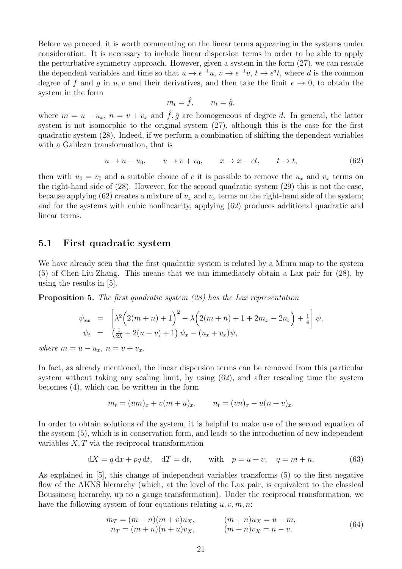Before we proceed, it is worth commenting on the linear terms appearing in the systems under consideration. It is necessary to include linear dispersion terms in order to be able to apply the perturbative symmetry approach. However, given a system in the form (27), we can rescale the dependent variables and time so that  $u \to \epsilon^{-1}u$ ,  $v \to \epsilon^{-1}v$ ,  $t \to \epsilon^d t$ , where d is the common degree of f and g in u, v and their derivatives, and then take the limit  $\epsilon \to 0$ , to obtain the system in the form

$$
m_t = \hat{f}, \qquad n_t = \hat{g},
$$

where  $m = u - u_x$ ,  $n = v + v_x$  and  $\hat{f}, \hat{g}$  are homogeneous of degree d. In general, the latter system is not isomorphic to the original system (27), although this is the case for the first quadratic system (28). Indeed, if we perform a combination of shifting the dependent variables with a Galilean transformation, that is

$$
u \to u + u_0, \qquad v \to v + v_0, \qquad x \to x - ct, \qquad t \to t,
$$
\n
$$
(62)
$$

then with  $u_0 = v_0$  and a suitable choice of c it is possible to remove the  $u_x$  and  $v_x$  terms on the right-hand side of (28). However, for the second quadratic system (29) this is not the case, because applying (62) creates a mixture of  $u_x$  and  $v_x$  terms on the right-hand side of the system; and for the systems with cubic nonlinearity, applying (62) produces additional quadratic and linear terms.

#### 5.1 First quadratic system

We have already seen that the first quadratic system is related by a Miura map to the system (5) of Chen-Liu-Zhang. This means that we can immediately obtain a Lax pair for (28), by using the results in [5].

Proposition 5. The first quadratic system (28) has the Lax representation

$$
\psi_{xx} = \left[ \lambda^2 \left( 2(m+n) + 1 \right)^2 - \lambda \left( 2(m+n) + 1 + 2m_x - 2n_x \right) + \frac{1}{4} \right] \psi,
$$
  
\n
$$
\psi_t = \left( \frac{1}{2\lambda} + 2(u+v) + 1 \right) \psi_x - (u_x + v_x) \psi,
$$

where  $m = u - u_x$ ,  $n = v + v_x$ .

In fact, as already mentioned, the linear dispersion terms can be removed from this particular system without taking any scaling limit, by using (62), and after rescaling time the system becomes (4), which can be written in the form

$$
m_t = (um)_x + v(m+u)_x, \qquad n_t = (vn)_x + u(n+v)_x.
$$

In order to obtain solutions of the system, it is helpful to make use of the second equation of the system (5), which is in conservation form, and leads to the introduction of new independent variables  $X, T$  via the reciprocal transformation

$$
dX = q dx + pq dt, \quad dT = dt, \quad \text{with} \quad p = u + v, \quad q = m + n. \tag{63}
$$

As explained in [5], this change of independent variables transforms (5) to the first negative flow of the AKNS hierarchy (which, at the level of the Lax pair, is equivalent to the classical Boussinesq hierarchy, up to a gauge transformation). Under the reciprocal transformation, we have the following system of four equations relating  $u, v, m, n$ :

$$
m_T = (m+n)(m+v)u_X, \t (m+n)u_X = u - m,n_T = (m+n)(n+u)v_X, \t (m+n)v_X = n - v.
$$
\t(64)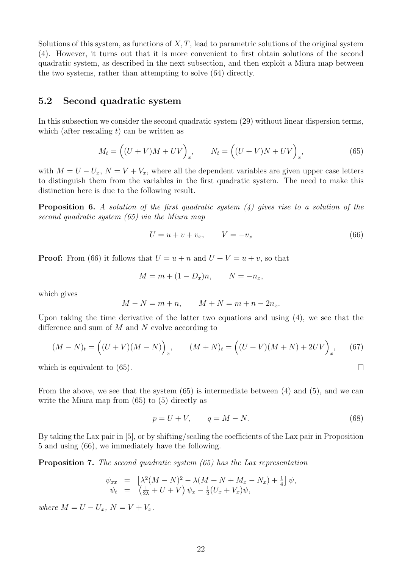Solutions of this system, as functions of  $X, T$ , lead to parametric solutions of the original system (4). However, it turns out that it is more convenient to first obtain solutions of the second quadratic system, as described in the next subsection, and then exploit a Miura map between the two systems, rather than attempting to solve (64) directly.

#### 5.2 Second quadratic system

In this subsection we consider the second quadratic system (29) without linear dispersion terms, which (after rescaling  $t$ ) can be written as

$$
M_t = \left( (U + V)M + UV \right)_x, \qquad N_t = \left( (U + V)N + UV \right)_x, \tag{65}
$$

with  $M = U - U_x$ ,  $N = V + V_x$ , where all the dependent variables are given upper case letters to distinguish them from the variables in the first quadratic system. The need to make this distinction here is due to the following result.

**Proposition 6.** A solution of the first quadratic system  $(4)$  gives rise to a solution of the second quadratic system (65) via the Miura map

$$
U = u + v + v_x, \qquad V = -v_x \tag{66}
$$

**Proof:** From (66) it follows that  $U = u + n$  and  $U + V = u + v$ , so that

$$
M = m + (1 - D_x)n, \qquad N = -n_x,
$$

which gives

$$
M - N = m + n, \qquad M + N = m + n - 2n_x.
$$

Upon taking the time derivative of the latter two equations and using (4), we see that the difference and sum of  $M$  and  $N$  evolve according to

$$
(M - N)_t = ((U + V)(M - N))_x, \qquad (M + N)_t = ((U + V)(M + N) + 2UV)_x, \qquad (67)
$$

which is equivalent to  $(65)$ .

From the above, we see that the system (65) is intermediate between (4) and (5), and we can write the Miura map from (65) to (5) directly as

$$
p = U + V, \qquad q = M - N. \tag{68}
$$

 $\Box$ 

By taking the Lax pair in [5], or by shifting/scaling the coefficients of the Lax pair in Proposition 5 and using (66), we immediately have the following.

Proposition 7. The second quadratic system (65) has the Lax representation

$$
\psi_{xx} = \left[ \lambda^2 (M - N)^2 - \lambda (M + N + M_x - N_x) + \frac{1}{4} \right] \psi, \n\psi_t = \left( \frac{1}{2\lambda} + U + V \right) \psi_x - \frac{1}{2} (U_x + V_x) \psi,
$$

where  $M = U - U_x$ ,  $N = V + V_x$ .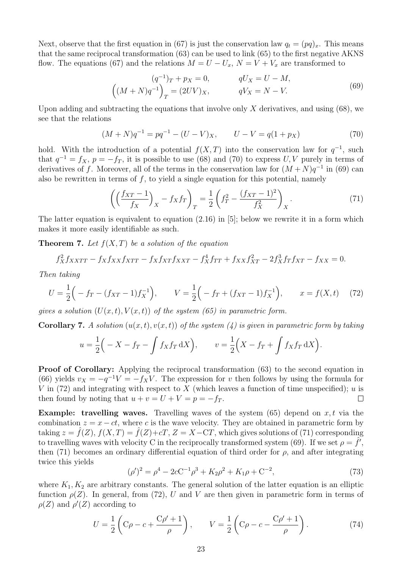Next, observe that the first equation in (67) is just the conservation law  $q_t = (pq)_x$ . This means that the same reciprocal transformation (63) can be used to link (65) to the first negative AKNS flow. The equations (67) and the relations  $M = U - U_x$ ,  $N = V + V_x$  are transformed to

$$
(q^{-1})_T + p_X = 0, \t qU_X = U - M,
$$
  
\n
$$
(M + N)q^{-1}\Big)_T = (2UV)_X, \t qV_X = N - V.
$$
\t(69)

Upon adding and subtracting the equations that involve only  $X$  derivatives, and using  $(68)$ , we see that the relations

$$
(M+N)q^{-1} = pq^{-1} - (U-V)_X, \qquad U-V = q(1+p_X)
$$
\n(70)

hold. With the introduction of a potential  $f(X,T)$  into the conservation law for  $q^{-1}$ , such that  $q^{-1} = f_X$ ,  $p = -f_T$ , it is possible to use (68) and (70) to express U, V purely in terms of derivatives of f. Moreover, all of the terms in the conservation law for  $(M+N)q^{-1}$  in (69) can also be rewritten in terms of  $f$ , to yield a single equation for this potential, namely

$$
\left( \left( \frac{f_{XT} - 1}{f_X} \right)_X - f_X f_T \right)_T = \frac{1}{2} \left( f_T^2 - \frac{(f_{XT} - 1)^2}{f_X^2} \right)_X. \tag{71}
$$

The latter equation is equivalent to equation (2.16) in [5]; below we rewrite it in a form which makes it more easily identifiable as such.

**Theorem 7.** Let  $f(X,T)$  be a solution of the equation

$$
f_X^2 f_{XXTT} - f_X f_{XX} f_{XTT} - f_X f_{XT} f_{XXT} - f_X^4 f_{TT} + f_{XX} f_{XT}^2 - 2 f_X^3 f_T f_{XT} - f_{XX} = 0.
$$

Then taking

$$
U = \frac{1}{2} \left( -f_T - (f_{XT} - 1)f_X^{-1} \right), \qquad V = \frac{1}{2} \left( -f_T + (f_{XT} - 1)f_X^{-1} \right), \qquad x = f(X, t) \tag{72}
$$

gives a solution  $(U(x,t), V(x,t))$  of the system (65) in parametric form.

**Corollary 7.** A solution  $(u(x, t), v(x, t))$  of the system (4) is given in parametric form by taking

$$
u = \frac{1}{2} \Big( -X - f_T - \int f_X f_T \, dX \Big), \qquad v = \frac{1}{2} \Big( X - f_T + \int f_X f_T \, dX \Big).
$$

**Proof of Corollary:** Applying the reciprocal transformation (63) to the second equation in (66) yields  $v_X = -q^{-1}V = -f_XV$ . The expression for v then follows by using the formula for V in (72) and integrating with respect to X (which leaves a function of time unspecified); u is then found by noting that  $u + v = U + V = p = -f_T$ .  $\Box$ 

**Example: travelling waves.** Travelling waves of the system  $(65)$  depend on x, t via the combination  $z = x - ct$ , where c is the wave velocity. They are obtained in parametric form by taking  $z = \hat{f}(Z)$ ,  $f(X,T) = \hat{f}(Z) + cT$ ,  $Z = X - CT$ , which gives solutions of (71) corresponding to travelling waves with velocity C in the reciprocally transformed system (69). If we set  $\rho = \hat{f}$ , then (71) becomes an ordinary differential equation of third order for  $\rho$ , and after integrating twice this yields

$$
(\rho')^2 = \rho^4 - 2cC^{-1}\rho^3 + K_2\rho^2 + K_1\rho + C^{-2},\tag{73}
$$

where  $K_1, K_2$  are arbitrary constants. The general solution of the latter equation is an elliptic function  $\rho(Z)$ . In general, from (72), U and V are then given in parametric form in terms of  $\rho(Z)$  and  $\rho'(Z)$  according to

$$
U = \frac{1}{2} \left( C\rho - c + \frac{C\rho' + 1}{\rho} \right), \qquad V = \frac{1}{2} \left( C\rho - c - \frac{C\rho' + 1}{\rho} \right). \tag{74}
$$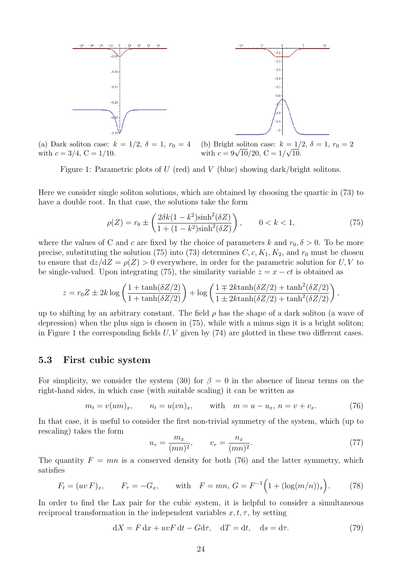

(a) Dark soliton case:  $k = 1/2$ ,  $\delta = 1$ ,  $r_0 = 4$ with  $c = 3/4$ ,  $C = 1/10$ . (b) Bright soliton case:  $k = 1/2, \delta = 1, r_0 = 2$ (b) Dright soliton case:  $k = 1/$ <br>with  $c = 9\sqrt{10}/20$ ,  $C = 1/\sqrt{10}$ .

Figure 1: Parametric plots of  $U$  (red) and  $V$  (blue) showing dark/bright solitons.

Here we consider single soliton solutions, which are obtained by choosing the quartic in (73) to have a double root. In that case, the solutions take the form

$$
\rho(Z) = r_0 \pm \left(\frac{2\delta k(1 - k^2)\sinh^2(\delta Z)}{1 + (1 - k^2)\sinh^2(\delta Z)}\right), \qquad 0 < k < 1,\tag{75}
$$

where the values of C and c are fixed by the choice of parameters k and  $r_0$ ,  $\delta > 0$ . To be more precise, substituting the solution (75) into (73) determines  $C, c, K_1, K_2$ , and  $r_0$  must be chosen to ensure that  $dz/dZ = \rho(Z) > 0$  everywhere, in order for the parametric solution for U, V to be single-valued. Upon integrating (75), the similarity variable  $z = x - ct$  is obtained as

$$
z = r_0 Z \pm 2k \log \left( \frac{1 + \tanh(\delta Z/2)}{1 + \tanh(\delta Z/2)} \right) + \log \left( \frac{1 \mp 2k \tanh(\delta Z/2) + \tanh^2(\delta Z/2)}{1 \pm 2k \tanh(\delta Z/2) + \tanh^2(\delta Z/2)} \right),
$$

up to shifting by an arbitrary constant. The field  $\rho$  has the shape of a dark soliton (a wave of depression) when the plus sign is chosen in (75), while with a minus sign it is a bright soliton; in Figure 1 the corresponding fields  $U, V$  given by  $(74)$  are plotted in these two different cases.

#### 5.3 First cubic system

For simplicity, we consider the system (30) for  $\beta = 0$  in the absence of linear terms on the right-hand sides, in which case (with suitable scaling) it can be written as

$$
m_t = v(um)_x
$$
,  $n_t = u(vn)_x$ , with  $m = u - u_x$ ,  $n = v + v_x$ . (76)

In that case, it is useful to consider the first non-trivial symmetry of the system, which (up to rescaling) takes the form

$$
u_{\tau} = \frac{m_x}{(mn)^2}, \qquad v_{\tau} = \frac{n_x}{(mn)^2}.
$$
 (77)

The quantity  $F = mn$  is a conserved density for both (76) and the latter symmetry, which satisfies

$$
F_t = (uv F)_x
$$
,  $F_\tau = -G_x$ , with  $F = mn$ ,  $G = F^{-1}(1 + (\log(m/n))_x)$ . (78)

In order to find the Lax pair for the cubic system, it is helpful to consider a simultaneous reciprocal transformation in the independent variables  $x, t, \tau$ , by setting

$$
dX = F dx + uvF dt - G d\tau, \quad dT = dt, \quad ds = d\tau.
$$
\n(79)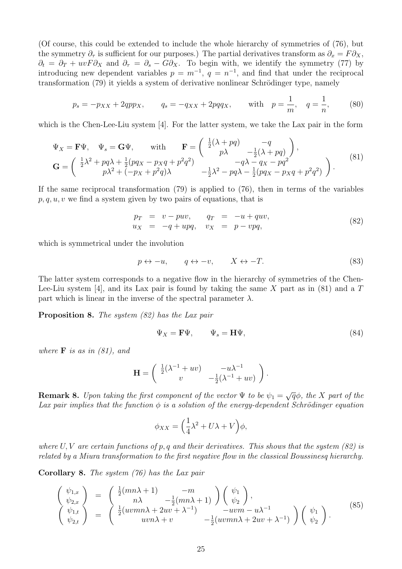(Of course, this could be extended to include the whole hierarchy of symmetries of (76), but the symmetry  $\partial_{\tau}$  is sufficient for our purposes.) The partial derivatives transform as  $\partial_{x} = F \partial_{X}$ ,  $\partial_t = \partial_T + uvF\partial_X$  and  $\partial_\tau = \partial_s - G\partial_X$ . To begin with, we identify the symmetry (77) by introducing new dependent variables  $p = m^{-1}$ ,  $q = n^{-1}$ , and find that under the reciprocal transformation (79) it yields a system of derivative nonlinear Schrödinger type, namely

$$
p_s = -p_{XX} + 2qpp_X
$$
,  $q_s = -q_{XX} + 2pqq_X$ , with  $p = \frac{1}{m}$ ,  $q = \frac{1}{n}$ , (80)

which is the Chen-Lee-Liu system [4]. For the latter system, we take the Lax pair in the form

$$
\Psi_X = \mathbf{F}\Psi, \quad \Psi_s = \mathbf{G}\Psi, \quad \text{with} \quad \mathbf{F} = \begin{pmatrix} \frac{1}{2}(\lambda + pq) & -q \\ p\lambda & -\frac{1}{2}(\lambda + pq) \end{pmatrix},
$$

$$
\mathbf{G} = \begin{pmatrix} \frac{1}{2}\lambda^2 + pq\lambda + \frac{1}{2}(pq_X - pxq + p^2q^2) & -q\lambda - qx - pq^2 \\ p\lambda^2 + (-px + p^2q)\lambda & -\frac{1}{2}\lambda^2 - pq\lambda - \frac{1}{2}(pq_X - pxq + p^2q^2) \end{pmatrix}.
$$
(81)

If the same reciprocal transformation (79) is applied to (76), then in terms of the variables  $p, q, u, v$  we find a system given by two pairs of equations, that is

$$
p_T = v - puv, \qquad q_T = -u + quv, \n u_X = -q + upq, \qquad v_X = p - vpq,
$$
\n
$$
(82)
$$

which is symmetrical under the involution

$$
p \leftrightarrow -u, \qquad q \leftrightarrow -v, \qquad X \leftrightarrow -T. \tag{83}
$$

The latter system corresponds to a negative flow in the hierarchy of symmetries of the Chen-Lee-Liu system [4], and its Lax pair is found by taking the same X part as in (81) and a  $T$ part which is linear in the inverse of the spectral parameter  $\lambda$ .

Proposition 8. The system (82) has the Lax pair

$$
\Psi_X = \mathbf{F}\Psi, \qquad \Psi_s = \mathbf{H}\Psi, \tag{84}
$$

where  $\bf{F}$  is as in (81), and

$$
\mathbf{H} = \begin{pmatrix} \frac{1}{2}(\lambda^{-1} + uv) & -u\lambda^{-1} \\ v & -\frac{1}{2}(\lambda^{-1} + uv) \end{pmatrix}.
$$

**Remark 8.** Upon taking the first component of the vector  $\Psi$  to be  $\psi_1 = \sqrt{q}\phi$ , the X part of the Lax pair implies that the function  $\phi$  is a solution of the energy-dependent Schrödinger equation

$$
\phi_{XX} = \left(\frac{1}{4}\lambda^2 + U\lambda + V\right)\phi,
$$

where  $U, V$  are certain functions of p, q and their derivatives. This shows that the system (82) is related by a Miura transformation to the first negative flow in the classical Boussinesq hierarchy.

Corollary 8. The system (76) has the Lax pair

$$
\begin{pmatrix}\n\psi_{1,x} \\
\psi_{2,x} \\
\psi_{1,t} \\
\psi_{2,t}\n\end{pmatrix} = \begin{pmatrix}\n\frac{1}{2}(mn\lambda + 1) & -m \\
n\lambda & -\frac{1}{2}(mn\lambda + 1) \\
\frac{1}{2}(uvwn\lambda + 2uv + \lambda^{-1}) & -uvw - u\lambda^{-1} \\
uwn\lambda + v & -\frac{1}{2}(uvwn\lambda + 2uv + \lambda^{-1})\n\end{pmatrix} \begin{pmatrix}\n\psi_1 \\
\psi_2\n\end{pmatrix}.
$$
\n(85)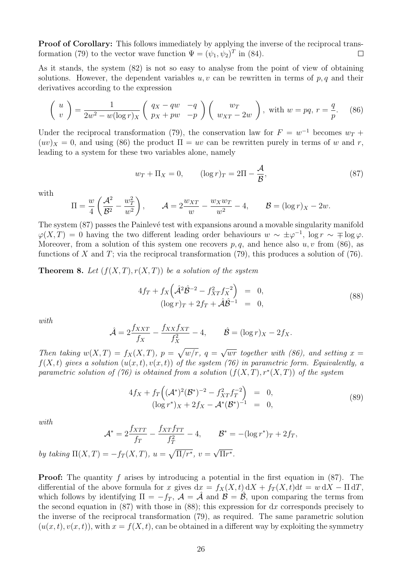Proof of Corollary: This follows immediately by applying the inverse of the reciprocal transformation (79) to the vector wave function  $\Psi = (\psi_1, \psi_2)^T$  in (84).  $\Box$ 

As it stands, the system (82) is not so easy to analyse from the point of view of obtaining solutions. However, the dependent variables  $u, v$  can be rewritten in terms of  $p, q$  and their derivatives according to the expression

$$
\begin{pmatrix} u \\ v \end{pmatrix} = \frac{1}{2w^2 - w(\log r)_X} \begin{pmatrix} q_X - qw & -q \\ p_X + pw & -p \end{pmatrix} \begin{pmatrix} w_T \\ w_{XT} - 2w \end{pmatrix}, \text{ with } w = pq, r = \frac{q}{p}.
$$
 (86)

Under the reciprocal transformation (79), the conservation law for  $F = w^{-1}$  becomes  $w_T$  +  $(uv)_X = 0$ , and using (86) the product  $\Pi = uv$  can be rewritten purely in terms of w and r, leading to a system for these two variables alone, namely

$$
w_T + \Pi_X = 0, \qquad (\log r)_T = 2\Pi - \frac{\mathcal{A}}{\mathcal{B}}, \tag{87}
$$

with

$$
\Pi = \frac{w}{4} \left( \frac{\mathcal{A}^2}{\mathcal{B}^2} - \frac{w_T^2}{w^2} \right), \qquad \mathcal{A} = 2 \frac{w_{XT}}{w} - \frac{w_X w_T}{w^2} - 4, \qquad \mathcal{B} = (\log r)_X - 2w.
$$

The system  $(87)$  passes the Painlevé test with expansions around a movable singularity manifold  $\varphi(X,T) = 0$  having the two different leading order behaviours  $w \sim \pm \varphi^{-1}$ , log  $r \sim \mp \log \varphi$ . Moreover, from a solution of this system one recovers  $p, q$ , and hence also  $u, v$  from (86), as functions of X and T; via the reciprocal transformation  $(79)$ , this produces a solution of  $(76)$ .

**Theorem 8.** Let  $(f(X,T), r(X,T))$  be a solution of the system

$$
4f_T + f_X \left(\hat{\mathcal{A}}^2 \hat{\mathcal{B}}^{-2} - f_{XT}^2 f_X^{-2}\right) = 0, \n(\log r)_T + 2f_T + \hat{\mathcal{A}} \hat{\mathcal{B}}^{-1} = 0,
$$
\n(88)

with

$$
\hat{\mathcal{A}} = 2\frac{f_{XXT}}{f_X} - \frac{f_{XX}f_{XT}}{f_X^2} - 4, \qquad \hat{\mathcal{B}} = (\log r)_X - 2f_X.
$$

Then taking  $w(X,T) = f_X(X,T)$ ,  $p = \sqrt{w/r}$ ,  $q =$ √  $\overline{wr}$  together with (86), and setting  $x =$  $f(X, t)$  gives a solution  $(u(x, t), v(x, t))$  of the system (76) in parametric form. Equivalently, a parametric solution of (76) is obtained from a solution  $(f(X,T), r^*(X,T))$  of the system

$$
4f_X + f_T((A^*)^2(B^*)^{-2} - f_{XT}^2 f_T^{-2}) = 0,
$$
  
\n
$$
(\log r^*)_X + 2f_X - A^*(B^*)^{-1} = 0,
$$
\n(89)

with

$$
\mathcal{A}^* = 2\frac{f_{XTT}}{f_T} - \frac{f_{XT}f_{TT}}{f_T^2} - 4, \qquad \mathcal{B}^* = -(\log r^*)_T + 2f_T,
$$
  
by taking  $\Pi(X,T) = -f_T(X,T)$ ,  $u = \sqrt{\Pi/r^*}$ ,  $v = \sqrt{\Pi r^*}$ .

Proof: The quantity f arises by introducing a potential in the first equation in (87). The differential of the above formula for x gives  $dx = f_X(X, t) dX + f_T(X, t) dt = w dX - \Pi dT$ , which follows by identifying  $\Pi = -f_T$ ,  $\mathcal{A} = \mathcal{A}$  and  $\mathcal{B} = \mathcal{B}$ , upon comparing the terms from the second equation in  $(87)$  with those in  $(88)$ ; this expression for dx corresponds precisely to the inverse of the reciprocal transformation (79), as required. The same parametric solution  $(u(x, t), v(x, t))$ , with  $x = f(X, t)$ , can be obtained in a different way by exploiting the symmetry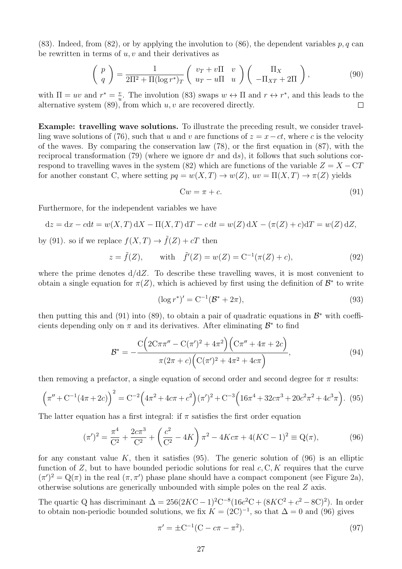(83). Indeed, from (82), or by applying the involution to (86), the dependent variables  $p, q$  can be rewritten in terms of  $u, v$  and their derivatives as

$$
\begin{pmatrix} p \\ q \end{pmatrix} = \frac{1}{2\Pi^2 + \Pi(\log r^*)_T} \begin{pmatrix} v_T + v\Pi & v \\ u_T - u\Pi & u \end{pmatrix} \begin{pmatrix} \Pi_X \\ -\Pi_{XT} + 2\Pi \end{pmatrix},
$$
(90)

with  $\Pi = uv$  and  $r^* = \frac{v}{u}$  $\frac{v}{u}$ . The involution (83) swaps  $w \leftrightarrow \Pi$  and  $r \leftrightarrow r^*$ , and this leads to the alternative system  $(89)$ , from which  $u, v$  are recovered directly.  $\Box$ 

Example: travelling wave solutions. To illustrate the preceding result, we consider travelling wave solutions of (76), such that u and v are functions of  $z = x - ct$ , where c is the velocity of the waves. By comparing the conservation law (78), or the first equation in (87), with the reciprocal transformation (79) (where we ignore  $d\tau$  and  $ds$ ), it follows that such solutions correspond to travelling waves in the system (82) which are functions of the variable  $Z = X - CT$ for another constant C, where setting  $pq = w(X,T) \to w(Z)$ ,  $uv = \Pi(X,T) \to \pi(Z)$  yields

$$
Cw = \pi + c.\tag{91}
$$

Furthermore, for the independent variables we have

$$
dz = dx - cdt = w(X,T) dX - \Pi(X,T) dT - c dt = w(Z) dX - (\pi(Z) + c)dT = w(Z) dZ,
$$

by (91). so if we replace  $f(X,T) \to f(Z) + cT$  then

$$
z = \tilde{f}(Z)
$$
, with  $\tilde{f}'(Z) = w(Z) = C^{-1}(\pi(Z) + c)$ , (92)

where the prime denotes  $d/dZ$ . To describe these travelling waves, it is most convenient to obtain a single equation for  $\pi(Z)$ , which is achieved by first using the definition of  $\mathcal{B}^*$  to write

$$
(\log r^*)' = C^{-1}(\mathcal{B}^* + 2\pi),\tag{93}
$$

then putting this and (91) into (89), to obtain a pair of quadratic equations in  $\mathcal{B}^*$  with coefficients depending only on  $\pi$  and its derivatives. After eliminating  $\mathcal{B}^*$  to find

$$
\mathcal{B}^* = -\frac{C\left(2C\pi\pi'' - C(\pi')^2 + 4\pi^2\right)\left(C\pi'' + 4\pi + 2c\right)}{\pi(2\pi + c)\left(C(\pi')^2 + 4\pi^2 + 4c\pi\right)},\tag{94}
$$

then removing a prefactor, a single equation of second order and second degree for  $\pi$  results:

$$
\left(\pi'' + C^{-1}(4\pi + 2c)\right)^2 = C^{-2}\left(4\pi^2 + 4c\pi + c^2\right)(\pi')^2 + C^{-3}\left(16\pi^4 + 32c\pi^3 + 20c^2\pi^2 + 4c^3\pi\right). \tag{95}
$$

The latter equation has a first integral: if  $\pi$  satisfies the first order equation

$$
(\pi')^2 = \frac{\pi^4}{C^2} + \frac{2c\pi^3}{C^2} + \left(\frac{c^2}{C^2} - 4K\right)\pi^2 - 4Kc\pi + 4(KC - 1)^2 \equiv Q(\pi),\tag{96}
$$

for any constant value K, then it satisfies  $(95)$ . The generic solution of  $(96)$  is an elliptic function of  $Z$ , but to have bounded periodic solutions for real  $c, C, K$  requires that the curve  $(\pi')^2 = Q(\pi)$  in the real  $(\pi, \pi')$  phase plane should have a compact component (see Figure 2a), otherwise solutions are generically unbounded with simple poles on the real Z axis.

The quartic Q has discriminant  $\Delta = 256(2KC-1)^2C^{-8}(16c^2C + (8KC^2 + c^2 - 8C)^2)$ . In order to obtain non-periodic bounded solutions, we fix  $K = (2C)^{-1}$ , so that  $\Delta = 0$  and (96) gives

$$
\pi' = \pm C^{-1}(C - c\pi - \pi^2). \tag{97}
$$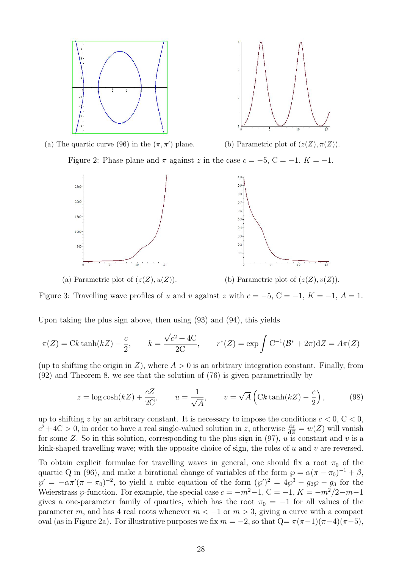



(a) The quartic curve (96) in the  $(\pi, \pi')$  plane.

(b) Parametric plot of  $(z(Z), \pi(Z))$ .

Figure 2: Phase plane and  $\pi$  against z in the case  $c = -5$ ,  $C = -1$ ,  $K = -1$ .



(a) Parametric plot of  $(z(Z), u(Z))$ . (b) Parametric plot of  $(z(Z), v(Z))$ .

Figure 3: Travelling wave profiles of u and v against z with  $c = -5$ ,  $C = -1$ ,  $K = -1$ ,  $A = 1$ .

Upon taking the plus sign above, then using (93) and (94), this yields

$$
\pi(Z) = Ck \tanh(kZ) - \frac{c}{2}, \qquad k = \frac{\sqrt{c^2 + 4C}}{2C}, \qquad r^*(Z) = \exp \int C^{-1} (\mathcal{B}^* + 2\pi) dZ = A\pi(Z)
$$

(up to shifting the origin in Z), where  $A > 0$  is an arbitrary integration constant. Finally, from (92) and Theorem 8, we see that the solution of (76) is given parametrically by

$$
z = \log \cosh(kZ) + \frac{cZ}{2C}, \qquad u = \frac{1}{\sqrt{A}}, \qquad v = \sqrt{A} \left( \text{Ck} \tanh(kZ) - \frac{c}{2} \right), \tag{98}
$$

up to shifting z by an arbitrary constant. It is necessary to impose the conditions  $c < 0, C < 0$ ,  $c^2+4C>0$ , in order to have a real single-valued solution in z, otherwise  $\frac{dz}{dZ} = w(Z)$  will vanish for some Z. So in this solution, corresponding to the plus sign in  $(97)$ , u is constant and v is a kink-shaped travelling wave; with the opposite choice of sign, the roles of u and v are reversed.

To obtain explicit formulae for travelling waves in general, one should fix a root  $\pi_0$  of the quartic Q in (96), and make a birational change of variables of the form  $\wp = \alpha(\pi - \pi_0)^{-1} + \beta$ ,  $\wp' = -\alpha \pi'(\pi - \pi_0)^{-2}$ , to yield a cubic equation of the form  $(\wp')^2 = 4\wp^3 - g_2\wp - g_3$  for the Weierstrass  $\wp$ -function. For example, the special case  $c = -m^2-1$ ,  $C = -1$ ,  $K = -m^2/2-m-1$ gives a one-parameter family of quartics, which has the root  $\pi_0 = -1$  for all values of the parameter m, and has 4 real roots whenever  $m < -1$  or  $m > 3$ , giving a curve with a compact oval (as in Figure 2a). For illustrative purposes we fix  $m = -2$ , so that  $Q = \pi(\pi-1)(\pi-4)(\pi-5)$ ,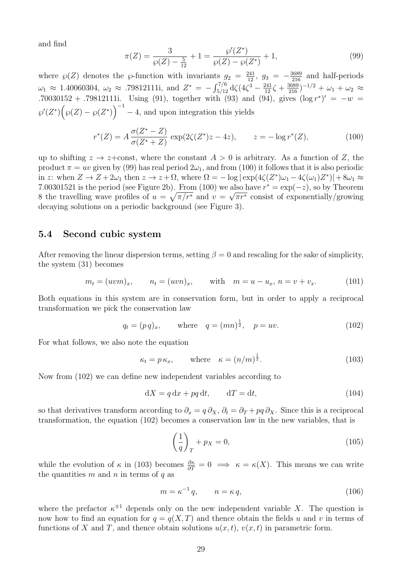and find

$$
\pi(Z) = \frac{3}{\wp(Z) - \frac{5}{12}} + 1 = \frac{\wp'(Z^*)}{\wp(Z) - \wp(Z^*)} + 1,\tag{99}
$$

where  $\wp(Z)$  denotes the  $\wp$ -function with invariants  $g_2 = \frac{241}{12}$ ,  $g_3 = -\frac{3689}{216}$  and half-periods  $\omega_1 \approx 1.40060304$ ,  $\omega_2 \approx .79812111$ i, and  $Z^* = -\int_{5/12}^{7/6} d\zeta (4\zeta^3 - \frac{241}{12}\zeta + \frac{3689}{216})^{-1/2} + \omega_1 + \omega_2 \approx$ .70030152 + .79812111i. Using (91), together with (93) and (94), gives  $(\log r^*)' = -w$  $\wp'(Z^*)\left(\wp(Z)-\wp(Z^*)\right)^{-1}-4$ , and upon integration this yields

$$
r^*(Z) = A \frac{\sigma(Z^*-Z)}{\sigma(Z^*+Z)} \exp(2\zeta(Z^*)z - 4z), \qquad z = -\log r^*(Z), \tag{100}
$$

up to shifting  $z \to z+\text{const}$ , where the constant  $A > 0$  is arbitrary. As a function of Z, the product  $\pi = uv$  given by (99) has real period  $2\omega_1$ , and from (100) it follows that it is also periodic in z: when  $Z \to Z + 2\omega_1$  then  $z \to z + \Omega$ , where  $\Omega = -\log |\exp(4\zeta(Z^*)\omega_1 - 4\zeta(\omega_1)Z^*)| + 8\omega_1 \approx$ 7.00301521 is the period (see Figure 2b). From (100) we also have  $r^* = \exp(-z)$ , so by Theorem 8 the travelling wave profiles of  $u = \sqrt{\pi/r^*}$  and  $v = \sqrt{\pi r^*}$  consist of exponentially/growing decaying solutions on a periodic background (see Figure 3).

### 5.4 Second cubic system

After removing the linear dispersion terms, setting  $\beta = 0$  and rescaling for the sake of simplicity, the system (31) becomes

$$
m_t = (uvm)_x
$$
,  $n_t = (uvn)_x$ , with  $m = u - u_x$ ,  $n = v + v_x$ . (101)

Both equations in this system are in conservation form, but in order to apply a reciprocal transformation we pick the conservation law

$$
q_t = (pq)_x
$$
, where  $q = (mn)^{\frac{1}{2}}$ ,  $p = uv$ . (102)

For what follows, we also note the equation

$$
\kappa_t = p \,\kappa_x, \qquad \text{where} \quad \kappa = (n/m)^{\frac{1}{2}}.
$$
 (103)

Now from (102) we can define new independent variables according to

$$
dX = q dx + pq dt, \qquad dT = dt,
$$
\n(104)

so that derivatives transform according to  $\partial_x = q \partial_x$ ,  $\partial_t = \partial_y + pq \partial_x$ . Since this is a reciprocal transformation, the equation (102) becomes a conservation law in the new variables, that is

$$
\left(\frac{1}{q}\right)_T + p_X = 0,\tag{105}
$$

while the evolution of  $\kappa$  in (103) becomes  $\frac{\partial \kappa}{\partial T} = 0 \implies \kappa = \kappa(X)$ . This means we can write the quantities  $m$  and  $n$  in terms of  $q$  as

$$
m = \kappa^{-1} q, \qquad n = \kappa q,
$$
\n(106)

where the prefactor  $\kappa^{\mp 1}$  depends only on the new independent variable X. The question is now how to find an equation for  $q = q(X,T)$  and thence obtain the fields u and v in terms of functions of X and T, and thence obtain solutions  $u(x, t)$ ,  $v(x, t)$  in parametric form.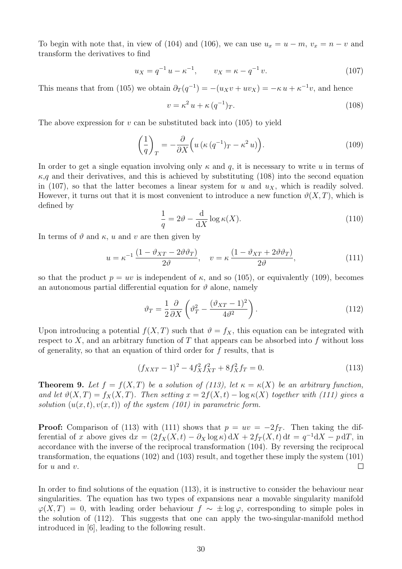To begin with note that, in view of (104) and (106), we can use  $u_x = u - m$ ,  $v_x = n - v$  and transform the derivatives to find

$$
u_X = q^{-1} u - \kappa^{-1}, \qquad v_X = \kappa - q^{-1} v. \tag{107}
$$

This means that from (105) we obtain  $\partial_T(q^{-1}) = -(u_Xv + uv_X) = -\kappa u + \kappa^{-1}v$ , and hence

$$
v = \kappa^2 u + \kappa (q^{-1})_T. \tag{108}
$$

The above expression for v can be substituted back into  $(105)$  to yield

$$
\left(\frac{1}{q}\right)_T = -\frac{\partial}{\partial X} \left( u \left( \kappa \left( q^{-1} \right)_T - \kappa^2 u \right) \right). \tag{109}
$$

In order to get a single equation involving only  $\kappa$  and q, it is necessary to write u in terms of  $\kappa$ , q and their derivatives, and this is achieved by substituting (108) into the second equation in (107), so that the latter becomes a linear system for u and  $u<sub>X</sub>$ , which is readily solved. However, it turns out that it is most convenient to introduce a new function  $\vartheta(X,T)$ , which is defined by

$$
\frac{1}{q} = 2\vartheta - \frac{d}{dX} \log \kappa(X). \tag{110}
$$

In terms of  $\vartheta$  and  $\kappa$ , u and v are then given by

$$
u = \kappa^{-1} \frac{\left(1 - \vartheta_{XT} - 2\vartheta \vartheta_{T}\right)}{2\vartheta}, \quad v = \kappa \frac{\left(1 - \vartheta_{XT} + 2\vartheta \vartheta_{T}\right)}{2\vartheta},\tag{111}
$$

so that the product  $p = uv$  is independent of  $\kappa$ , and so (105), or equivalently (109), becomes an autonomous partial differential equation for  $\vartheta$  alone, namely

$$
\vartheta_T = \frac{1}{2} \frac{\partial}{\partial X} \left( \vartheta_T^2 - \frac{(\vartheta_{XT} - 1)^2}{4\vartheta^2} \right). \tag{112}
$$

Upon introducing a potential  $f(X,T)$  such that  $\vartheta = f_X$ , this equation can be integrated with respect to X, and an arbitrary function of T that appears can be absorbed into f without loss of generality, so that an equation of third order for f results, that is

$$
(f_{XXT} - 1)^2 - 4f_X^2 f_{XT}^2 + 8f_X^2 f_T = 0.
$$
\n(113)

**Theorem 9.** Let  $f = f(X,T)$  be a solution of (113), let  $\kappa = \kappa(X)$  be an arbitrary function, and let  $\vartheta(X,T) = f_X(X,T)$ . Then setting  $x = 2f(X,t) - \log \kappa(X)$  together with (111) gives a solution  $(u(x, t), v(x, t))$  of the system (101) in parametric form.

**Proof:** Comparison of (113) with (111) shows that  $p = uv = -2f_T$ . Then taking the differential of x above gives  $dx = (2f_X(X,t) - \partial_X \log \kappa) dX + 2f_T(X,t) dt = q^{-1}dX - p dT$ , in accordance with the inverse of the reciprocal transformation (104). By reversing the reciprocal transformation, the equations (102) and (103) result, and together these imply the system (101) for  $u$  and  $v$ .  $\Box$ 

In order to find solutions of the equation (113), it is instructive to consider the behaviour near singularities. The equation has two types of expansions near a movable singularity manifold  $\varphi(X,T) = 0$ , with leading order behaviour  $f \sim \pm \log \varphi$ , corresponding to simple poles in the solution of (112). This suggests that one can apply the two-singular-manifold method introduced in [6], leading to the following result.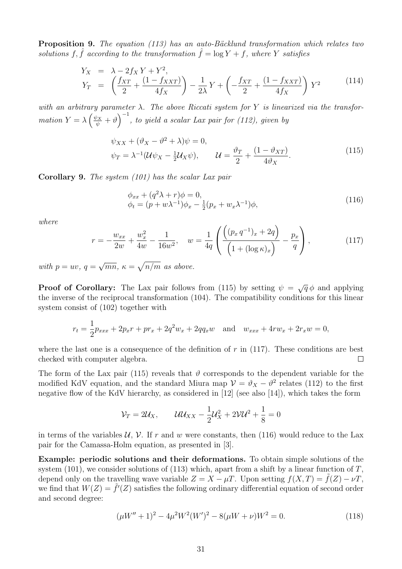**Proposition 9.** The equation (113) has an auto-Bäcklund transformation which relates two solutions f, f according to the transformation  $f = \log Y + f$ , where Y satisfies

$$
Y_X = \lambda - 2f_X Y + Y^2,
$$
  
\n
$$
Y_T = \left(\frac{f_{XT}}{2} + \frac{(1 - f_{XXT})}{4f_X}\right) - \frac{1}{2\lambda}Y + \left(-\frac{f_{XT}}{2} + \frac{(1 - f_{XXT})}{4f_X}\right)Y^2
$$
\n(114)

with an arbitrary parameter  $\lambda$ . The above Riccati system for Y is linearized via the transformation  $Y = \lambda \left(\frac{\psi_X}{\psi} + \vartheta\right)^{-1}$ , to yield a scalar Lax pair for (112), given by

$$
\psi_{XX} + (\vartheta_X - \vartheta^2 + \lambda)\psi = 0,
$$
  

$$
\psi_T = \lambda^{-1}(\mathcal{U}\psi_X - \frac{1}{2}\mathcal{U}_X\psi), \qquad \mathcal{U} = \frac{\vartheta_T}{2} + \frac{(1 - \vartheta_{XT})}{4\vartheta_X}.
$$
 (115)

Corollary 9. The system (101) has the scalar Lax pair

$$
\begin{aligned} \phi_{xx} + (q^2 \lambda + r) \phi &= 0, \\ \phi_t &= (p + w\lambda^{-1}) \phi_x - \frac{1}{2} (p_x + w_x \lambda^{-1}) \phi, \end{aligned} \tag{116}
$$

where

$$
r = -\frac{w_{xx}}{2w} + \frac{w_x^2}{4w} - \frac{1}{16w^2}, \quad w = \frac{1}{4q} \left( \frac{\left( (p_x q^{-1})_x + 2q \right)}{\left( 1 + (\log \kappa)_x \right)} - \frac{p_x}{q} \right),\tag{117}
$$

with  $p = uv, q =$ √  $\overline{mn}$ ,  $\kappa = \sqrt{n/m}$  as above.

**Proof of Corollary:** The Lax pair follows from (115) by setting  $\psi = \sqrt{q} \phi$  and applying the inverse of the reciprocal transformation (104). The compatibility conditions for this linear system consist of (102) together with

$$
r_t = \frac{1}{2}p_{xxx} + 2p_x r + pr_x + 2q^2 w_x + 2qq_x w \text{ and } w_{xxx} + 4rw_x + 2r_x w = 0,
$$

where the last one is a consequence of the definition of  $r$  in (117). These conditions are best checked with computer algebra.  $\Box$ 

The form of the Lax pair (115) reveals that  $\vartheta$  corresponds to the dependent variable for the modified KdV equation, and the standard Miura map  $\mathcal{V} = \vartheta_X - \vartheta^2$  relates (112) to the first negative flow of the KdV hierarchy, as considered in [12] (see also [14]), which takes the form

$$
\mathcal{V}_T = 2\mathcal{U}_X, \qquad \mathcal{U}\mathcal{U}_{XX} - \frac{1}{2}\mathcal{U}_X^2 + 2\mathcal{V}\mathcal{U}^2 + \frac{1}{8} = 0
$$

in terms of the variables  $\mathcal{U}, \mathcal{V}$ . If r and w were constants, then (116) would reduce to the Lax pair for the Camassa-Holm equation, as presented in [3].

Example: periodic solutions and their deformations. To obtain simple solutions of the system (101), we consider solutions of (113) which, apart from a shift by a linear function of  $T$ , depend only on the travelling wave variable  $Z = X - \mu T$ . Upon setting  $f(X,T) = \tilde{f}(Z) - \nu T$ . we find that  $W(Z) = \tilde{f}'(Z)$  satisfies the following ordinary differential equation of second order and second degree:

$$
(\mu W'' + 1)^2 - 4\mu^2 W^2 (W')^2 - 8(\mu W + \nu)W^2 = 0.
$$
\n(118)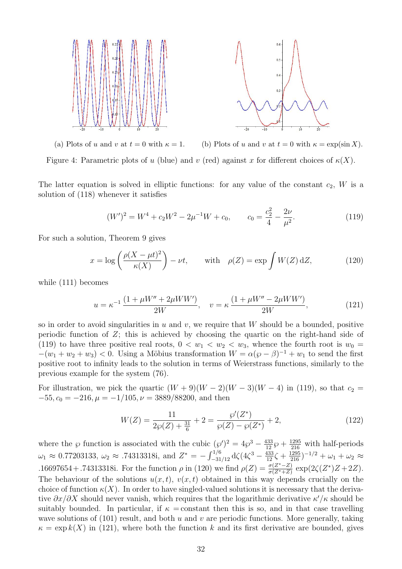

(a) Plots of u and v at  $t = 0$  with  $\kappa = 1$ . (b) Plots of u and v at  $t = 0$  with  $\kappa = \exp(\sin X)$ . Figure 4: Parametric plots of u (blue) and v (red) against x for different choices of  $\kappa(X)$ .

The latter equation is solved in elliptic functions: for any value of the constant  $c_2$ , W is a solution of (118) whenever it satisfies

$$
(W')^{2} = W^{4} + c_{2}W^{2} - 2\mu^{-1}W + c_{0}, \qquad c_{0} = \frac{c_{2}^{2}}{4} - \frac{2\nu}{\mu^{2}}.
$$
 (119)

For such a solution, Theorem 9 gives

$$
x = \log\left(\frac{\rho(X - \mu t)^2}{\kappa(X)}\right) - \nu t, \quad \text{with} \quad \rho(Z) = \exp\int W(Z) \,dZ,\tag{120}
$$

while (111) becomes

$$
u = \kappa^{-1} \frac{(1 + \mu W'' + 2\mu WW')}{2W}, \quad v = \kappa \frac{(1 + \mu W'' - 2\mu WW')}{2W}, \tag{121}
$$

so in order to avoid singularities in u and v, we require that W should be a bounded, positive periodic function of  $Z$ ; this is achieved by choosing the quartic on the right-hand side of (119) to have three positive real roots,  $0 < w_1 < w_2 < w_3$ , whence the fourth root is  $w_0 =$  $-(w_1 + w_2 + w_3) < 0$ . Using a Möbius transformation  $W = \alpha(\wp - \beta)^{-1} + w_1$  to send the first positive root to infinity leads to the solution in terms of Weierstrass functions, similarly to the previous example for the system (76).

For illustration, we pick the quartic  $(W + 9)(W - 2)(W - 3)(W - 4)$  in (119), so that  $c_2$  $-55$ ,  $c_0 = -216$ ,  $\mu = -1/105$ ,  $\nu = 3889/88200$ , and then

$$
W(Z) = \frac{11}{2\wp(Z) + \frac{31}{6}} + 2 = \frac{\wp'(Z^*)}{\wp(Z) - \wp(Z^*)} + 2,\tag{122}
$$

where the  $\wp$  function is associated with the cubic  $(\wp')^2 = 4\wp^3 - \frac{433}{12}\wp + \frac{1295}{216}$  with half-periods  $\omega_1 \approx 0.77203133$ ,  $\omega_2 \approx .74313318$ i, and  $Z^* = -\int_{-31/12}^{1/6} d\zeta (4\zeta^3 - \frac{433}{12}\zeta + \frac{1295}{216})^{-1/2} + \omega_1 + \omega_2 \approx$ .16697654 + .74313318i. For the function  $\rho$  in (120) we find  $\rho(Z) = \frac{\sigma(Z^*-Z)}{\sigma(Z^*+Z)} \exp(2\zeta(Z^*)Z + 2Z)$ . The behaviour of the solutions  $u(x, t)$ ,  $v(x, t)$  obtained in this way depends crucially on the choice of function  $\kappa(X)$ . In order to have singled-valued solutions it is necessary that the derivative  $\partial x/\partial X$  should never vanish, which requires that the logarithmic derivative  $\kappa'/\kappa$  should be suitably bounded. In particular, if  $\kappa$  = constant then this is so, and in that case travelling wave solutions of  $(101)$  result, and both u and v are periodic functions. More generally, taking  $\kappa = \exp k(X)$  in (121), where both the function k and its first derivative are bounded, gives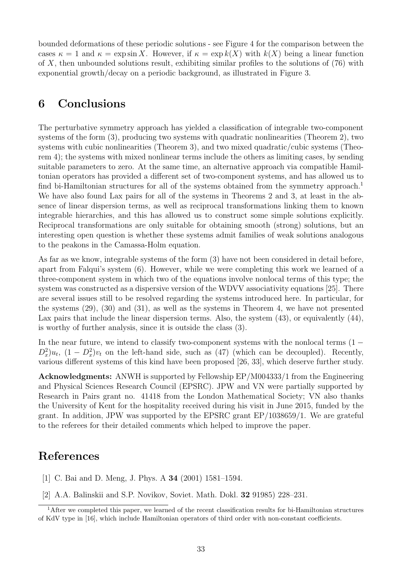bounded deformations of these periodic solutions - see Figure 4 for the comparison between the cases  $\kappa = 1$  and  $\kappa = \exp \sin X$ . However, if  $\kappa = \exp k(X)$  with  $k(X)$  being a linear function of  $X$ , then unbounded solutions result, exhibiting similar profiles to the solutions of  $(76)$  with exponential growth/decay on a periodic background, as illustrated in Figure 3.

# 6 Conclusions

The perturbative symmetry approach has yielded a classification of integrable two-component systems of the form (3), producing two systems with quadratic nonlinearities (Theorem 2), two systems with cubic nonlinearities (Theorem 3), and two mixed quadratic/cubic systems (Theorem 4); the systems with mixed nonlinear terms include the others as limiting cases, by sending suitable parameters to zero. At the same time, an alternative approach via compatible Hamiltonian operators has provided a different set of two-component systems, and has allowed us to find bi-Hamiltonian structures for all of the systems obtained from the symmetry approach.<sup>1</sup> We have also found Lax pairs for all of the systems in Theorems 2 and 3, at least in the absence of linear dispersion terms, as well as reciprocal transformations linking them to known integrable hierarchies, and this has allowed us to construct some simple solutions explicitly. Reciprocal transformations are only suitable for obtaining smooth (strong) solutions, but an interesting open question is whether these systems admit families of weak solutions analogous to the peakons in the Camassa-Holm equation.

As far as we know, integrable systems of the form (3) have not been considered in detail before, apart from Falqui's system (6). However, while we were completing this work we learned of a three-component system in which two of the equations involve nonlocal terms of this type; the system was constructed as a dispersive version of the WDVV associativity equations [25]. There are several issues still to be resolved regarding the systems introduced here. In particular, for the systems (29), (30) and (31), as well as the systems in Theorem 4, we have not presented Lax pairs that include the linear dispersion terms. Also, the system  $(43)$ , or equivalently  $(44)$ , is worthy of further analysis, since it is outside the class (3).

In the near future, we intend to classify two-component systems with the nonlocal terms  $(1 D_x^2$ ,  $u_t$ ,  $(1 - D_x^2)v_t$  on the left-hand side, such as (47) (which can be decoupled). Recently, various different systems of this kind have been proposed [26, 33], which deserve further study.

Acknowledgments: ANWH is supported by Fellowship EP/M004333/1 from the Engineering and Physical Sciences Research Council (EPSRC). JPW and VN were partially supported by Research in Pairs grant no. 41418 from the London Mathematical Society; VN also thanks the University of Kent for the hospitality received during his visit in June 2015, funded by the grant. In addition, JPW was supported by the EPSRC grant EP/1038659/1. We are grateful to the referees for their detailed comments which helped to improve the paper.

# References

- [1] C. Bai and D. Meng, J. Phys. A 34 (2001) 1581–1594.
- [2] A.A. Balinskii and S.P. Novikov, Soviet. Math. Dokl. 32 91985) 228–231.

<sup>1</sup>After we completed this paper, we learned of the recent classification results for bi-Hamiltonian structures of KdV type in [16], which include Hamiltonian operators of third order with non-constant coefficients.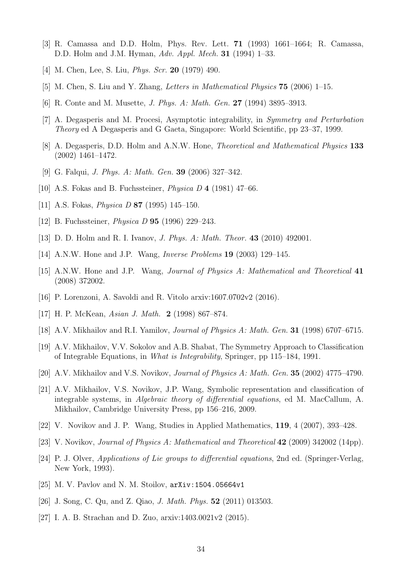- [3] R. Camassa and D.D. Holm, Phys. Rev. Lett. 71 (1993) 1661–1664; R. Camassa, D.D. Holm and J.M. Hyman, Adv. Appl. Mech. 31 (1994) 1–33.
- [4] M. Chen, Lee, S. Liu, *Phys. Scr.* **20** (1979) 490.
- [5] M. Chen, S. Liu and Y. Zhang, Letters in Mathematical Physics 75 (2006) 1–15.
- [6] R. Conte and M. Musette, J. Phys. A: Math. Gen. 27 (1994) 3895–3913.
- [7] A. Degasperis and M. Procesi, Asymptotic integrability, in Symmetry and Perturbation Theory ed A Degasperis and G Gaeta, Singapore: World Scientific, pp 23–37, 1999.
- [8] A. Degasperis, D.D. Holm and A.N.W. Hone, Theoretical and Mathematical Physics 133 (2002) 1461–1472.
- [9] G. Falqui, J. Phys. A: Math. Gen. 39 (2006) 327–342.
- [10] A.S. Fokas and B. Fuchssteiner, Physica D 4 (1981) 47–66.
- [11] A.S. Fokas, *Physica D* **87** (1995) 145–150.
- [12] B. Fuchssteiner, *Physica D* **95** (1996) 229–243.
- [13] D. D. Holm and R. I. Ivanov, J. Phys. A: Math. Theor. 43 (2010) 492001.
- [14] A.N.W. Hone and J.P. Wang, Inverse Problems 19 (2003) 129–145.
- [15] A.N.W. Hone and J.P. Wang, Journal of Physics A: Mathematical and Theoretical 41 (2008) 372002.
- [16] P. Lorenzoni, A. Savoldi and R. Vitolo arxiv:1607.0702v2 (2016).
- [17] H. P. McKean, Asian J. Math. 2 (1998) 867–874.
- [18] A.V. Mikhailov and R.I. Yamilov, Journal of Physics A: Math. Gen. 31 (1998) 6707–6715.
- [19] A.V. Mikhailov, V.V. Sokolov and A.B. Shabat, The Symmetry Approach to Classification of Integrable Equations, in What is Integrability, Springer, pp 115–184, 1991.
- [20] A.V. Mikhailov and V.S. Novikov, Journal of Physics A: Math. Gen. 35 (2002) 4775–4790.
- [21] A.V. Mikhailov, V.S. Novikov, J.P. Wang, Symbolic representation and classification of integrable systems, in Algebraic theory of differential equations, ed M. MacCallum, A. Mikhailov, Cambridge University Press, pp 156–216, 2009.
- [22] V. Novikov and J. P. Wang, Studies in Applied Mathematics, 119, 4 (2007), 393–428.
- [23] V. Novikov, *Journal of Physics A: Mathematical and Theoretical* **42** (2009) 342002 (14pp).
- [24] P. J. Olver, Applications of Lie groups to differential equations, 2nd ed. (Springer-Verlag, New York, 1993).
- [25] M. V. Pavlov and N. M. Stoilov, arXiv:1504.05664v1
- [26] J. Song, C. Qu, and Z. Qiao, J. Math. Phys. 52 (2011) 013503.
- [27] I. A. B. Strachan and D. Zuo, arxiv:1403.0021v2 (2015).